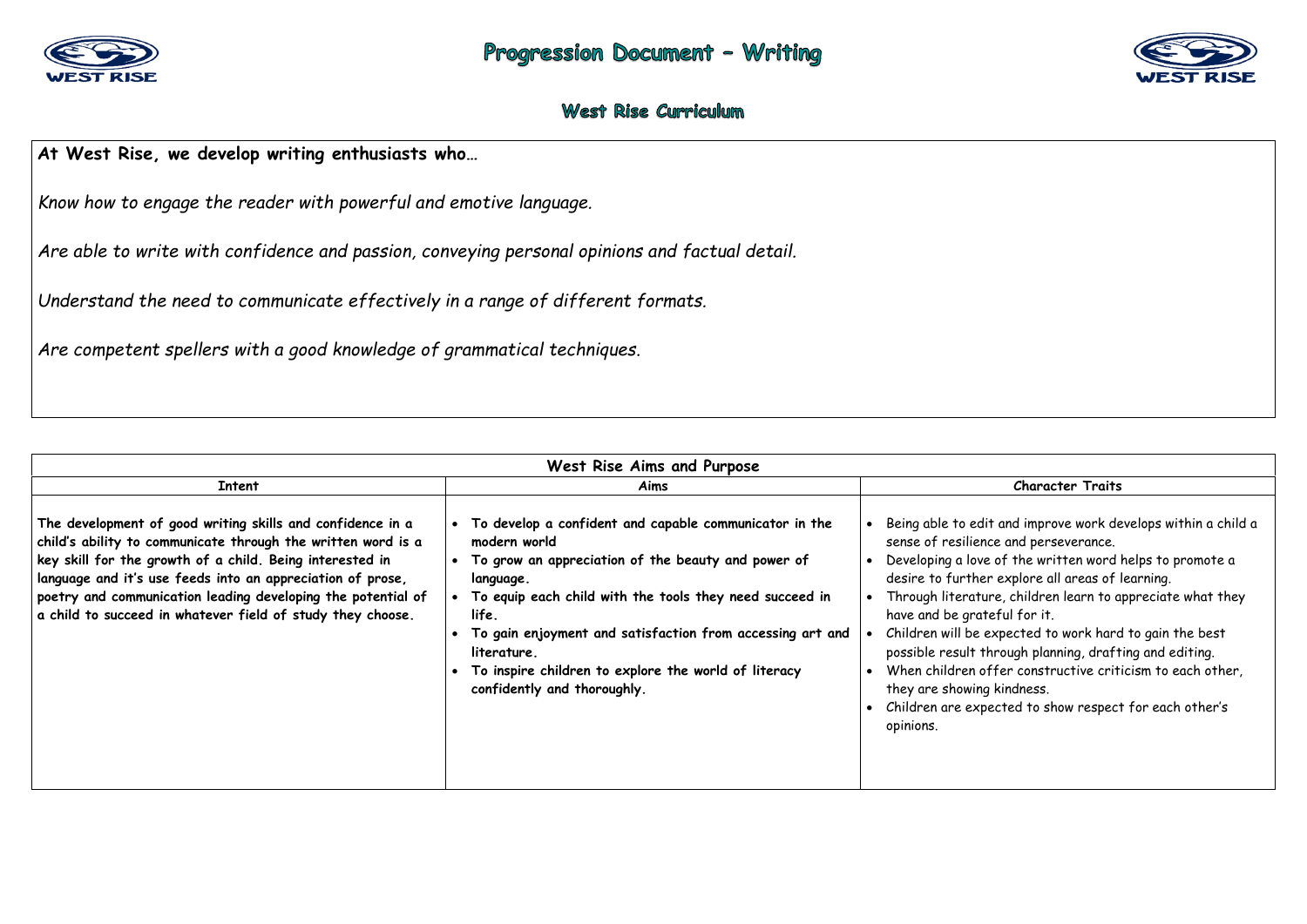

## West Rise Curriculum

## **At West Rise, we develop writing enthusiasts who…**

*Know how to engage the reader with powerful and emotive language.* 

*Are able to write with confidence and passion, conveying personal opinions and factual detail.*

*Understand the need to communicate effectively in a range of different formats.* 

*Are competent spellers with a good knowledge of grammatical techniques.* 

| West Rise Aims and Purpose                                                                                                                                                                                                                                                                                                                                                         |                                                                                                                                                                                                                                                                                                                                                                                        |                                                                                                                                                                                                                                                                                                                                                                                                                                                                            |  |  |  |
|------------------------------------------------------------------------------------------------------------------------------------------------------------------------------------------------------------------------------------------------------------------------------------------------------------------------------------------------------------------------------------|----------------------------------------------------------------------------------------------------------------------------------------------------------------------------------------------------------------------------------------------------------------------------------------------------------------------------------------------------------------------------------------|----------------------------------------------------------------------------------------------------------------------------------------------------------------------------------------------------------------------------------------------------------------------------------------------------------------------------------------------------------------------------------------------------------------------------------------------------------------------------|--|--|--|
| <b>Intent</b>                                                                                                                                                                                                                                                                                                                                                                      | Aims                                                                                                                                                                                                                                                                                                                                                                                   | <b>Character Traits</b>                                                                                                                                                                                                                                                                                                                                                                                                                                                    |  |  |  |
| The development of good writing skills and confidence in a<br>child's ability to communicate through the written word is a<br>key skill for the growth of a child. Being interested in<br>language and it's use feeds into an appreciation of prose,<br>poetry and communication leading developing the potential of<br>a child to succeed in whatever field of study they choose. | • To develop a confident and capable communicator in the<br>modern world<br>• To grow an appreciation of the beauty and power of<br>language.<br>• To equip each child with the tools they need succeed in<br>life.<br>To gain enjoyment and satisfaction from accessing art and<br>literature.<br>To inspire children to explore the world of literacy<br>confidently and thoroughly. | Being able to edit and improve work dev<br>sense of resilience and perseverance.<br>Developing a love of the written word h<br>desire to further explore all areas of le<br>Through literature, children learn to ap<br>have and be grateful for it.<br>Children will be expected to work hard<br>possible result through planning, drafti<br>When children offer constructive crition<br>they are showing kindness.<br>Children are expected to show respect<br>opinions. |  |  |  |



- and improve work develops within a child a e and perseverance.
- of the written word helps to promote a explore all areas of learning.
- re, children learn to appreciate what they eful for it.
- xpected to work hard to gain the best rough planning, drafting and editing.
- fer constructive criticism to each other, kindness.
- ected to show respect for each other's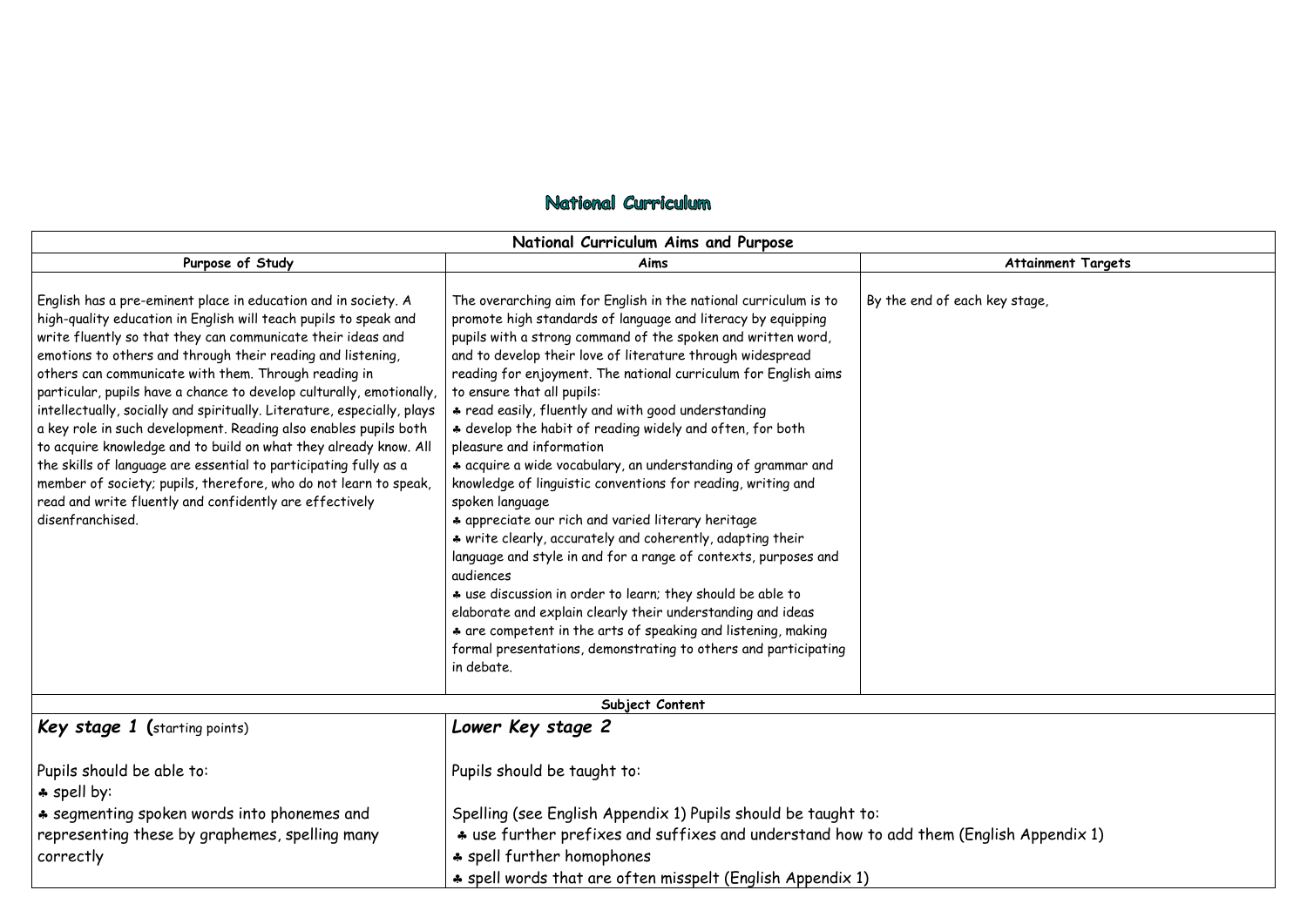## National Curriculum

| National Curriculum Aims and Purpose                                                                                                                                                                                                                                                                                                                                                                                                                                                                                                                                                                                                                                                                                                                                                                                                       |                                                                                                                                                                                                                                                                                                                                                                                                                                                                                                                                                                                                                                                                                                                                                                                                                                                                                                                                                                                                                                                                                                                                                       |                    |
|--------------------------------------------------------------------------------------------------------------------------------------------------------------------------------------------------------------------------------------------------------------------------------------------------------------------------------------------------------------------------------------------------------------------------------------------------------------------------------------------------------------------------------------------------------------------------------------------------------------------------------------------------------------------------------------------------------------------------------------------------------------------------------------------------------------------------------------------|-------------------------------------------------------------------------------------------------------------------------------------------------------------------------------------------------------------------------------------------------------------------------------------------------------------------------------------------------------------------------------------------------------------------------------------------------------------------------------------------------------------------------------------------------------------------------------------------------------------------------------------------------------------------------------------------------------------------------------------------------------------------------------------------------------------------------------------------------------------------------------------------------------------------------------------------------------------------------------------------------------------------------------------------------------------------------------------------------------------------------------------------------------|--------------------|
| Purpose of Study                                                                                                                                                                                                                                                                                                                                                                                                                                                                                                                                                                                                                                                                                                                                                                                                                           | Aims                                                                                                                                                                                                                                                                                                                                                                                                                                                                                                                                                                                                                                                                                                                                                                                                                                                                                                                                                                                                                                                                                                                                                  |                    |
| English has a pre-eminent place in education and in society. A<br>high-quality education in English will teach pupils to speak and<br>write fluently so that they can communicate their ideas and<br>emotions to others and through their reading and listening,<br>others can communicate with them. Through reading in<br>particular, pupils have a chance to develop culturally, emotionally,<br>intellectually, socially and spiritually. Literature, especially, plays<br>a key role in such development. Reading also enables pupils both<br>to acquire knowledge and to build on what they already know. All<br>the skills of language are essential to participating fully as a<br>member of society; pupils, therefore, who do not learn to speak,<br>read and write fluently and confidently are effectively<br>disenfranchised. | The overarching aim for English in the national curriculum is to<br>promote high standards of language and literacy by equipping<br>pupils with a strong command of the spoken and written word,<br>and to develop their love of literature through widespread<br>reading for enjoyment. The national curriculum for English aims<br>to ensure that all pupils:<br>* read easily, fluently and with good understanding<br>* develop the habit of reading widely and often, for both<br>pleasure and information<br>* acquire a wide vocabulary, an understanding of grammar and<br>knowledge of linguistic conventions for reading, writing and<br>spoken language<br>* appreciate our rich and varied literary heritage<br>* write clearly, accurately and coherently, adapting their<br>language and style in and for a range of contexts, purposes and<br>audiences<br>* use discussion in order to learn; they should be able to<br>elaborate and explain clearly their understanding and ideas<br>* are competent in the arts of speaking and listening, making<br>formal presentations, demonstrating to others and participating<br>in debate. | By the end of each |
|                                                                                                                                                                                                                                                                                                                                                                                                                                                                                                                                                                                                                                                                                                                                                                                                                                            | Subject Content                                                                                                                                                                                                                                                                                                                                                                                                                                                                                                                                                                                                                                                                                                                                                                                                                                                                                                                                                                                                                                                                                                                                       |                    |
| Key stage 1 (starting points)                                                                                                                                                                                                                                                                                                                                                                                                                                                                                                                                                                                                                                                                                                                                                                                                              | Lower Key stage 2                                                                                                                                                                                                                                                                                                                                                                                                                                                                                                                                                                                                                                                                                                                                                                                                                                                                                                                                                                                                                                                                                                                                     |                    |
| Pupils should be able to:<br>* spell by:                                                                                                                                                                                                                                                                                                                                                                                                                                                                                                                                                                                                                                                                                                                                                                                                   | Pupils should be taught to:                                                                                                                                                                                                                                                                                                                                                                                                                                                                                                                                                                                                                                                                                                                                                                                                                                                                                                                                                                                                                                                                                                                           |                    |
| * segmenting spoken words into phonemes and                                                                                                                                                                                                                                                                                                                                                                                                                                                                                                                                                                                                                                                                                                                                                                                                | Spelling (see English Appendix 1) Pupils should be taught to:                                                                                                                                                                                                                                                                                                                                                                                                                                                                                                                                                                                                                                                                                                                                                                                                                                                                                                                                                                                                                                                                                         |                    |
| representing these by graphemes, spelling many<br>correctly                                                                                                                                                                                                                                                                                                                                                                                                                                                                                                                                                                                                                                                                                                                                                                                | * use further prefixes and suffixes and understand how to add them (Eng<br>* spell further homophones                                                                                                                                                                                                                                                                                                                                                                                                                                                                                                                                                                                                                                                                                                                                                                                                                                                                                                                                                                                                                                                 |                    |
|                                                                                                                                                                                                                                                                                                                                                                                                                                                                                                                                                                                                                                                                                                                                                                                                                                            | * spell words that are often misspelt (English Appendix 1)                                                                                                                                                                                                                                                                                                                                                                                                                                                                                                                                                                                                                                                                                                                                                                                                                                                                                                                                                                                                                                                                                            |                    |

## **Attainment Targets**

key stage,

glish Appendix 1)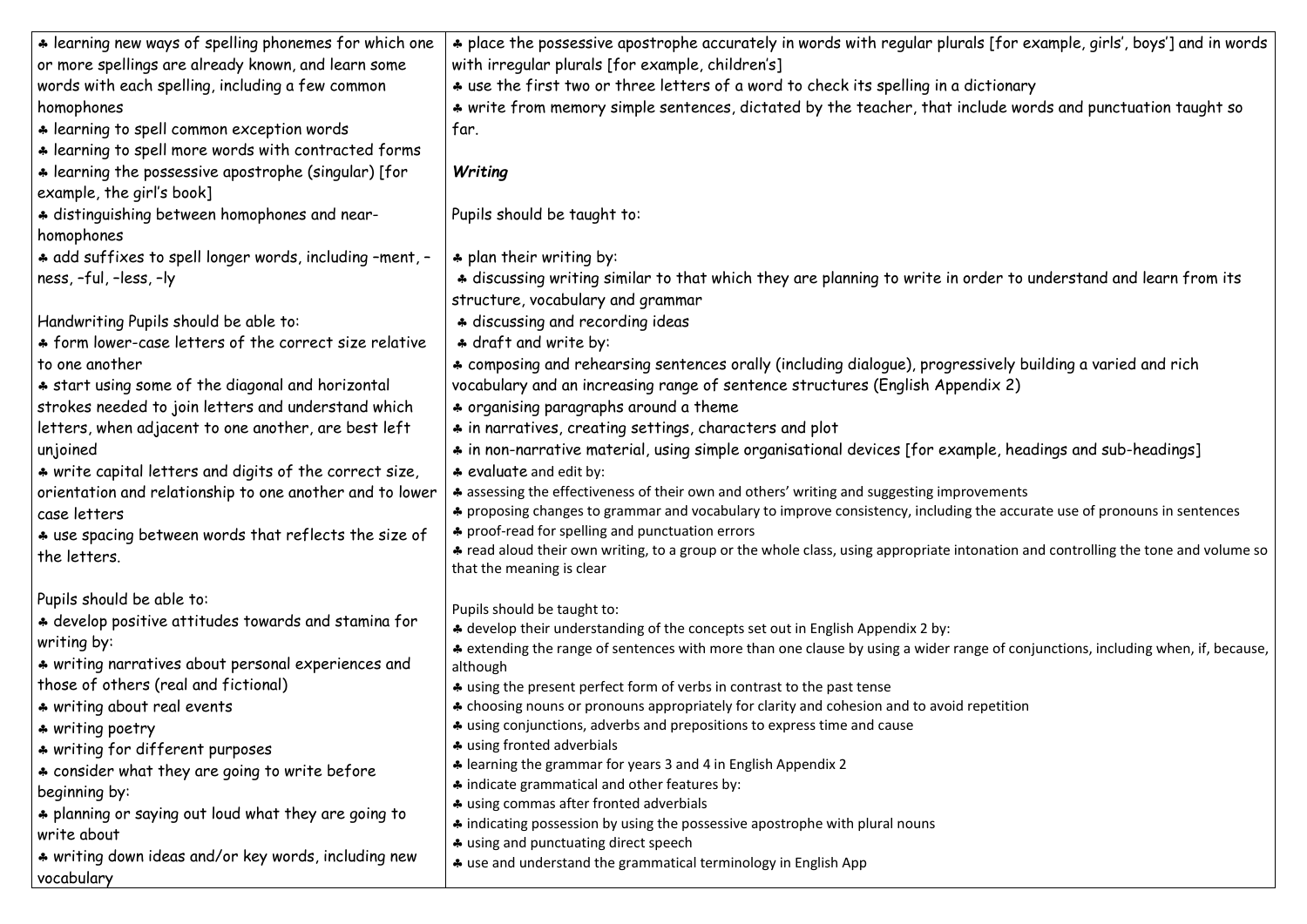| * learning new ways of spelling phonemes for which one   | * place the possessive apostrophe accurately in words with regular plurals [for ex                                                             |
|----------------------------------------------------------|------------------------------------------------------------------------------------------------------------------------------------------------|
| or more spellings are already known, and learn some      | with irregular plurals [for example, children's]                                                                                               |
| words with each spelling, including a few common         | * use the first two or three letters of a word to check its spelling in a dictionary                                                           |
| homophones                                               | * write from memory simple sentences, dictated by the teacher, that include word                                                               |
| * learning to spell common exception words               | far.                                                                                                                                           |
| * learning to spell more words with contracted forms     |                                                                                                                                                |
| * learning the possessive apostrophe (singular) [for     | Writing                                                                                                                                        |
| example, the girl's book]                                |                                                                                                                                                |
| * distinguishing between homophones and near-            | Pupils should be taught to:                                                                                                                    |
| homophones                                               |                                                                                                                                                |
| * add suffixes to spell longer words, including -ment, - | * plan their writing by:                                                                                                                       |
| ness, -ful, -less, -ly                                   | * discussing writing similar to that which they are planning to write in order to ur                                                           |
|                                                          | structure, vocabulary and grammar                                                                                                              |
| Handwriting Pupils should be able to:                    | * discussing and recording ideas                                                                                                               |
| * form lower-case letters of the correct size relative   | * draft and write by:                                                                                                                          |
| to one another                                           | * composing and rehearsing sentences orally (including dialogue), progressively bui                                                            |
| * start using some of the diagonal and horizontal        | vocabulary and an increasing range of sentence structures (English Appendix 2)                                                                 |
|                                                          |                                                                                                                                                |
| strokes needed to join letters and understand which      | * organising paragraphs around a theme                                                                                                         |
| letters, when adjacent to one another, are best left     | * in narratives, creating settings, characters and plot                                                                                        |
| unjoined                                                 | * in non-narrative material, using simple organisational devices [for example, head                                                            |
| * write capital letters and digits of the correct size,  | * evaluate and edit by:                                                                                                                        |
| orientation and relationship to one another and to lower | * assessing the effectiveness of their own and others' writing and suggesting improvements                                                     |
| case letters                                             | * proposing changes to grammar and vocabulary to improve consistency, including the accura<br>* proof-read for spelling and punctuation errors |
| * use spacing between words that reflects the size of    | * read aloud their own writing, to a group or the whole class, using appropriate intonation and                                                |
| the letters.                                             | that the meaning is clear                                                                                                                      |
| Pupils should be able to:                                |                                                                                                                                                |
| * develop positive attitudes towards and stamina for     | Pupils should be taught to:<br>* develop their understanding of the concepts set out in English Appendix 2 by:                                 |
| writing by:                                              | * extending the range of sentences with more than one clause by using a wider range of conju                                                   |
| * writing narratives about personal experiences and      | although                                                                                                                                       |
| those of others (real and fictional)                     | * using the present perfect form of verbs in contrast to the past tense                                                                        |
| * writing about real events                              | * choosing nouns or pronouns appropriately for clarity and cohesion and to avoid repetition                                                    |
| * writing poetry                                         | * using conjunctions, adverbs and prepositions to express time and cause                                                                       |
| * writing for different purposes                         | * using fronted adverbials                                                                                                                     |
| * consider what they are going to write before           | * learning the grammar for years 3 and 4 in English Appendix 2                                                                                 |
| beginning by:                                            | * indicate grammatical and other features by:                                                                                                  |
| * planning or saying out loud what they are going to     | * using commas after fronted adverbials                                                                                                        |
| write about                                              | * indicating possession by using the possessive apostrophe with plural nouns                                                                   |
| * writing down ideas and/or key words, including new     | * using and punctuating direct speech                                                                                                          |
| vocabulary                                               | * use and understand the grammatical terminology in English App                                                                                |
|                                                          |                                                                                                                                                |

[for example, girls', boys'] and in words

ide words and punctuation taught so

ler to understand and learn from its

ively building a varied and rich

ie, headings and sub-headings]

ne accurate use of pronouns in sentences

ation and controlling the tone and volume so

extending when, if, because, of conjunctions, including when, if, because,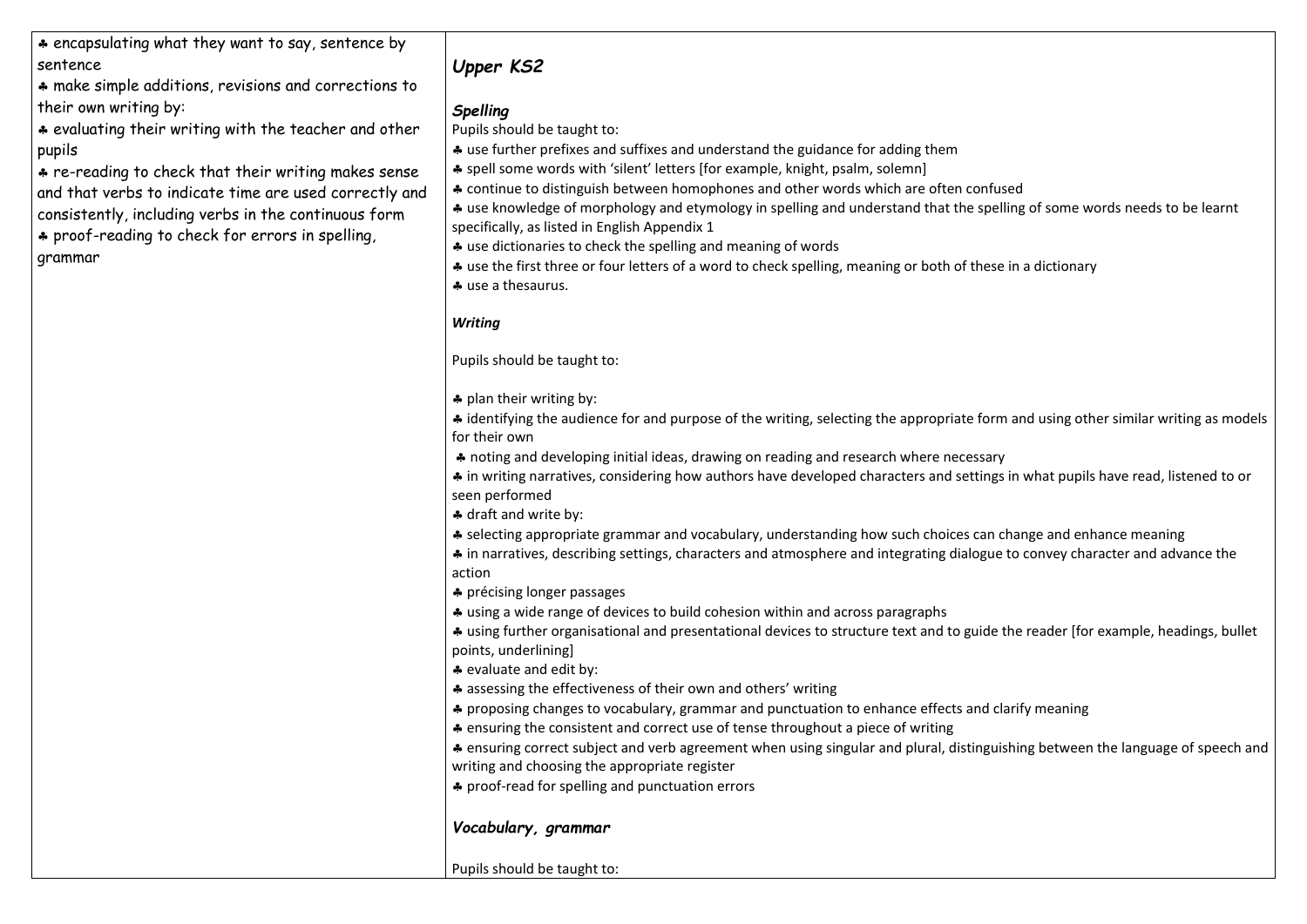\* encapsulating what they want to say, sentence by sentence

\* make simple additions, revisions and corrections to their own writing by:

\* evaluating their writing with the teacher and other pupils

\* re-reading to check that their writing makes sense and that verbs to indicate time are used correctly and consistently, including verbs in the continuous form \* proof-reading to check for errors in spelling, grammar

- use further prefixes and suffixes and understand the guidance for adding them
- \* spell some words with 'silent' letters [for example, knight, psalm, solemn]
- \* continue to distinguish between homophones and other words which are often confused

# *Upper KS2*

## *Spelling*

\* use knowledge of morphology and etymology in spelling and understand that the spelling of some words needs to be learnt specifically, as listed in English Appendix 1

Pupils should be taught to:

- \* use dictionaries to check the spelling and meaning of words
- \* use the first three or four letters of a word to check spelling, meaning or both of these in a dictionary
- use a thesaurus.

 $\clubsuit$  identifying the audience for and purpose of the writing, selecting the appropriate form and using other similar writing as models for their own

## *Writing*

Pupils should be taught to:

\* plan their writing by:

\* ensuring correct subject and verb agreement when using singular and plural, distinguishing between the language of speech and writing and choosing the appropriate register

\* proof-read for spelling and punctuation errors

 noting and developing initial ideas, drawing on reading and research where necessary \* in writing narratives, considering how authors have developed characters and settings in what pupils have read, listened to or seen performed

\* draft and write by:

\* selecting appropriate grammar and vocabulary, understanding how such choices can change and enhance meaning

 in narratives, describing settings, characters and atmosphere and integrating dialogue to convey character and advance the action

\* précising longer passages

\* using a wide range of devices to build cohesion within and across paragraphs

 using further organisational and presentational devices to structure text and to guide the reader [for example, headings, bullet points, underlining]

\* evaluate and edit by:

**↑** assessing the effectiveness of their own and others' writing

\* proposing changes to vocabulary, grammar and punctuation to enhance effects and clarify meaning

\* ensuring the consistent and correct use of tense throughout a piece of writing

## *Vocabulary, grammar*

Pupils should be taught to: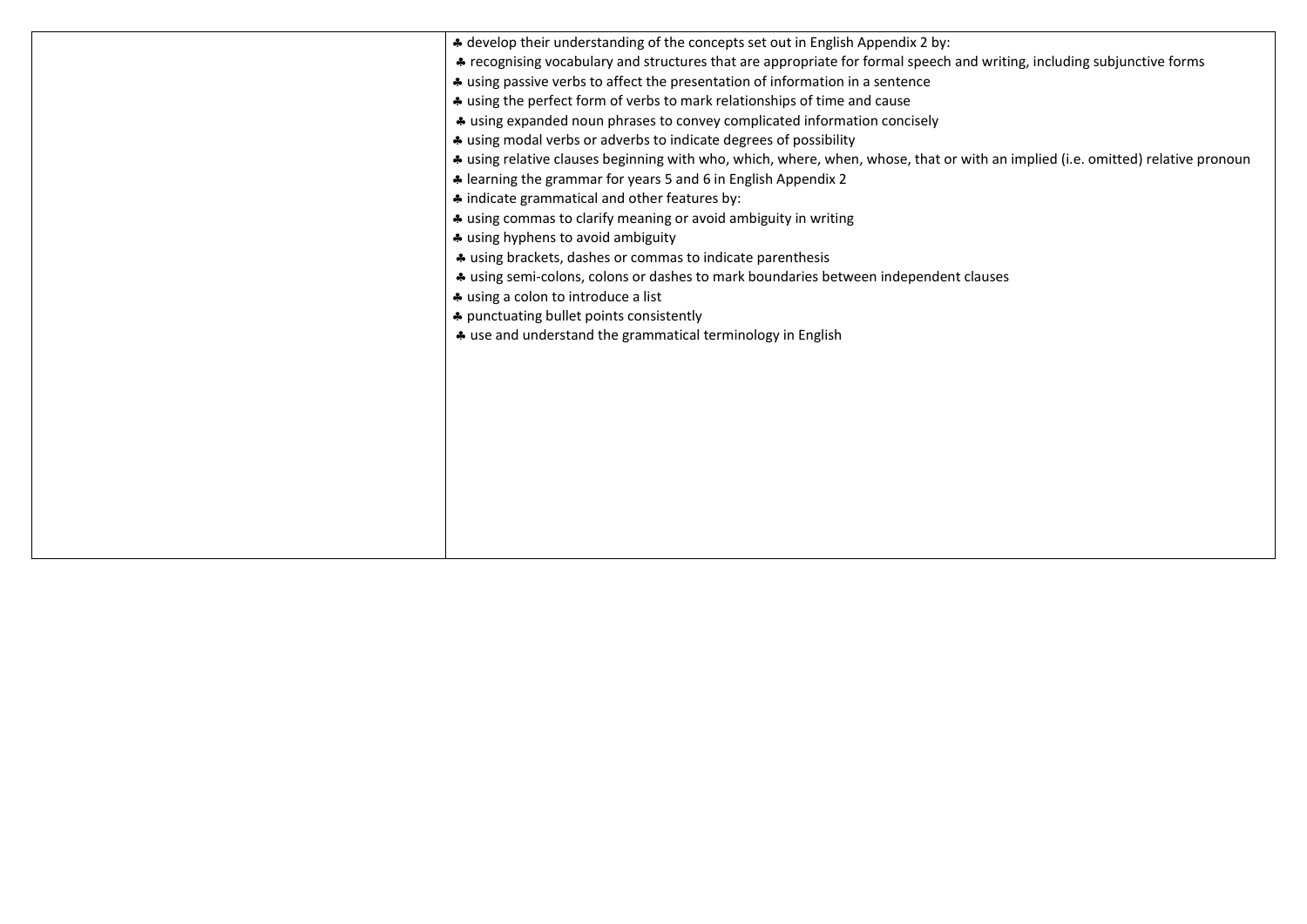| * develop their understanding of the concepts set out in English Appendix 2 by:<br>* recognising vocabulary and structures that are appropriate for formal speech and writing<br>* using passive verbs to affect the presentation of information in a sentence<br>* using the perfect form of verbs to mark relationships of time and cause<br>* using expanded noun phrases to convey complicated information concisely<br>* using modal verbs or adverbs to indicate degrees of possibility<br>* using relative clauses beginning with who, which, where, when, whose, that or with an<br>* learning the grammar for years 5 and 6 in English Appendix 2<br>* indicate grammatical and other features by:<br>* using commas to clarify meaning or avoid ambiguity in writing<br>* using hyphens to avoid ambiguity<br>* using brackets, dashes or commas to indicate parenthesis<br>* using semi-colons, colons or dashes to mark boundaries between independent clauses<br>* using a colon to introduce a list<br>* punctuating bullet points consistently<br>* use and understand the grammatical terminology in English |
|------------------------------------------------------------------------------------------------------------------------------------------------------------------------------------------------------------------------------------------------------------------------------------------------------------------------------------------------------------------------------------------------------------------------------------------------------------------------------------------------------------------------------------------------------------------------------------------------------------------------------------------------------------------------------------------------------------------------------------------------------------------------------------------------------------------------------------------------------------------------------------------------------------------------------------------------------------------------------------------------------------------------------------------------------------------------------------------------------------------------------|
|                                                                                                                                                                                                                                                                                                                                                                                                                                                                                                                                                                                                                                                                                                                                                                                                                                                                                                                                                                                                                                                                                                                              |

## riting, including subjunctive forms

an implied (i.e. omitted) relative pronoun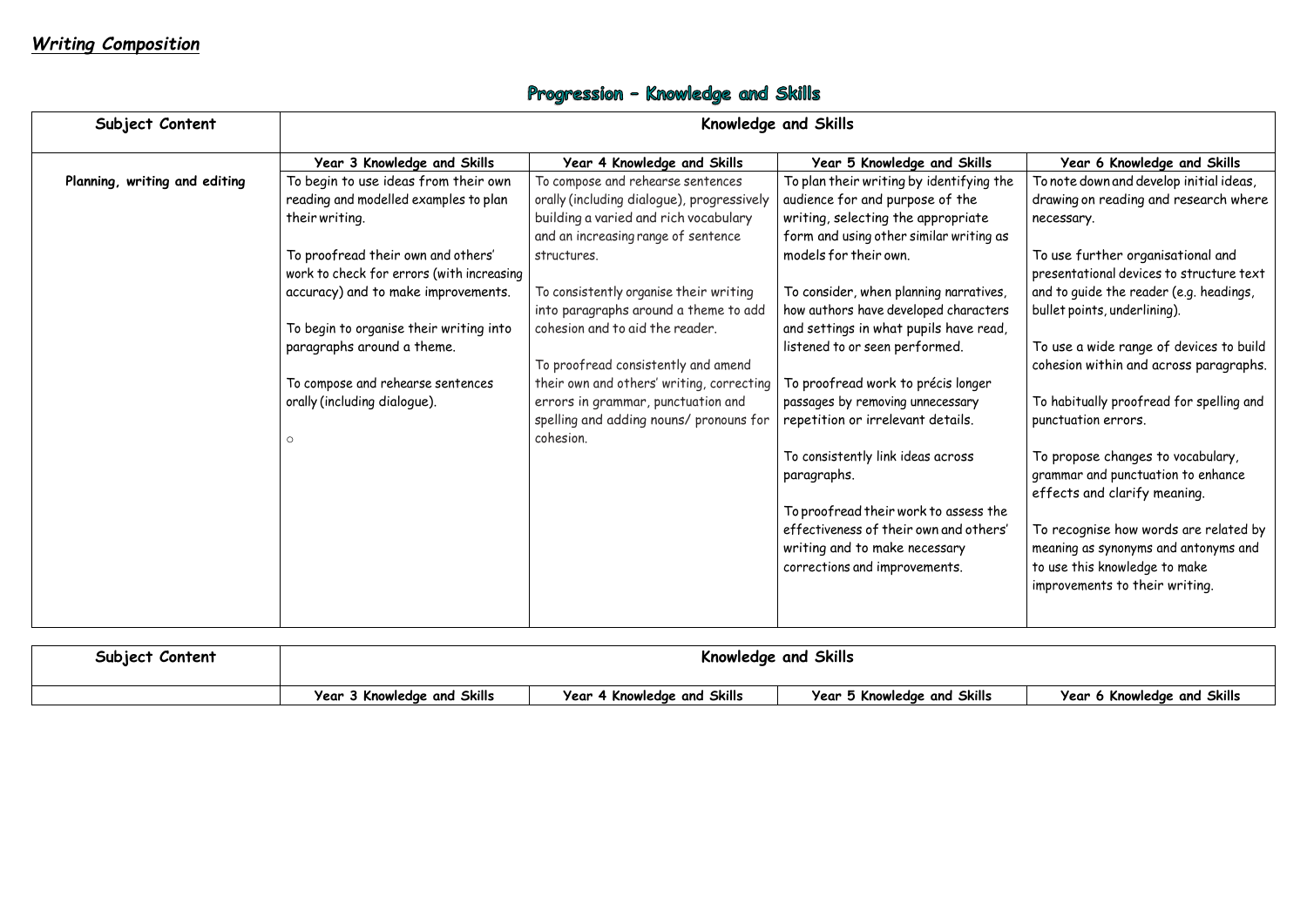# Progression - Knowledge and Skills

| Subject Content               | Knowledge and Skills                                                                                                                                                                                                                                                                                                                                                               |                                                                                                                                                                                                                                                                                                                                                                                                                                                                                        |                                                                                                                                                                                                                                                                                                                                                                                                                                                                                                                                                                                                            |                                                                                                                                                                                                                                                                                                                                                                                                                                                                                                                                                                        |
|-------------------------------|------------------------------------------------------------------------------------------------------------------------------------------------------------------------------------------------------------------------------------------------------------------------------------------------------------------------------------------------------------------------------------|----------------------------------------------------------------------------------------------------------------------------------------------------------------------------------------------------------------------------------------------------------------------------------------------------------------------------------------------------------------------------------------------------------------------------------------------------------------------------------------|------------------------------------------------------------------------------------------------------------------------------------------------------------------------------------------------------------------------------------------------------------------------------------------------------------------------------------------------------------------------------------------------------------------------------------------------------------------------------------------------------------------------------------------------------------------------------------------------------------|------------------------------------------------------------------------------------------------------------------------------------------------------------------------------------------------------------------------------------------------------------------------------------------------------------------------------------------------------------------------------------------------------------------------------------------------------------------------------------------------------------------------------------------------------------------------|
|                               | Year 3 Knowledge and Skills                                                                                                                                                                                                                                                                                                                                                        | Year 4 Knowledge and Skills                                                                                                                                                                                                                                                                                                                                                                                                                                                            | Year 5 Knowledge and Skills                                                                                                                                                                                                                                                                                                                                                                                                                                                                                                                                                                                | Year 6 Knowledge and Skills                                                                                                                                                                                                                                                                                                                                                                                                                                                                                                                                            |
| Planning, writing and editing | To begin to use ideas from their own<br>reading and modelled examples to plan<br>their writing.<br>To proofread their own and others'<br>work to check for errors (with increasing<br>accuracy) and to make improvements.<br>To begin to organise their writing into<br>paragraphs around a theme.<br>To compose and rehearse sentences<br>orally (including dialogue).<br>$\circ$ | To compose and rehearse sentences<br>orally (including dialogue), progressively<br>building a varied and rich vocabulary<br>and an increasing range of sentence<br>structures.<br>To consistently organise their writing<br>into paragraphs around a theme to add<br>cohesion and to aid the reader.<br>To proofread consistently and amend<br>their own and others' writing, correcting<br>errors in grammar, punctuation and<br>spelling and adding nouns/ pronouns for<br>cohesion. | To plan their writing by identifying the<br>audience for and purpose of the<br>writing, selecting the appropriate<br>form and using other similar writing as<br>models for their own.<br>To consider, when planning narratives,<br>how authors have developed characters<br>and settings in what pupils have read,<br>listened to or seen performed.<br>To proofread work to précis longer<br>passages by removing unnecessary<br>repetition or irrelevant details.<br>To consistently link ideas across<br>paragraphs.<br>To proofread their work to assess the<br>effectiveness of their own and others' | To note down and develop initial ideas,<br>drawing on reading and research where<br>necessary.<br>To use further organisational and<br>presentational devices to structure text<br>and to guide the reader (e.g. headings,<br>bullet points, underlining).<br>To use a wide range of devices to build<br>cohesion within and across paragraphs.<br>To habitually proofread for spelling and<br>punctuation errors.<br>To propose changes to vocabulary,<br>grammar and punctuation to enhance<br>effects and clarify meaning.<br>To recognise how words are related by |
|                               |                                                                                                                                                                                                                                                                                                                                                                                    |                                                                                                                                                                                                                                                                                                                                                                                                                                                                                        | writing and to make necessary<br>corrections and improvements.                                                                                                                                                                                                                                                                                                                                                                                                                                                                                                                                             | meaning as synonyms and antonyms and<br>to use this knowledge to make<br>improvements to their writing.                                                                                                                                                                                                                                                                                                                                                                                                                                                                |

| Subject Content | Knowledge and Skills        |                                        |                             |                             |
|-----------------|-----------------------------|----------------------------------------|-----------------------------|-----------------------------|
|                 | Year 3 Knowledge and Skills | Year<br>$\cdot$ 4 Knowledge and Skills | Year 5 Knowledge and Skills | Year 6 Knowledge and Skills |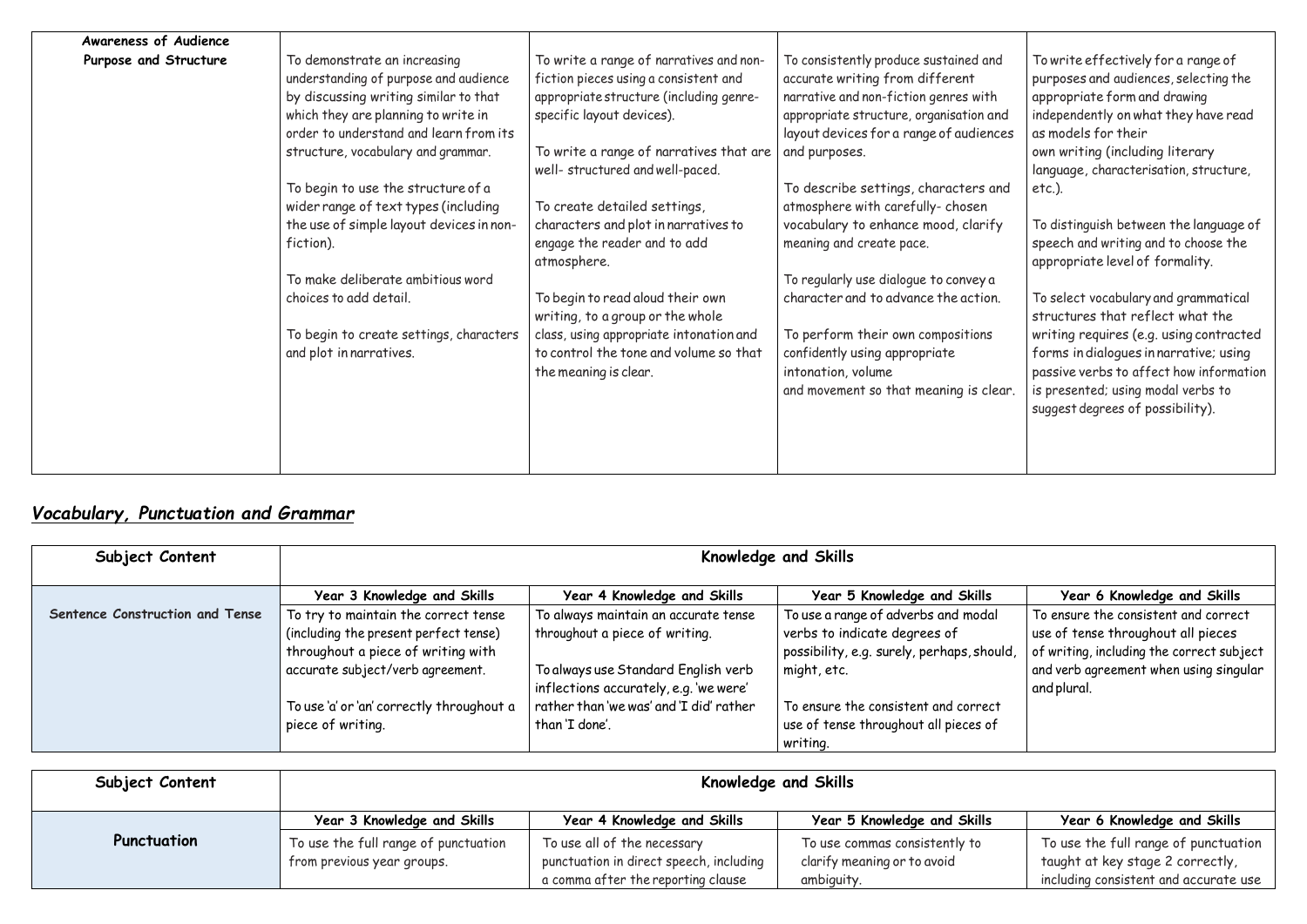| Awareness of Audience |                                                                                                                                                                                                 |                                                                                                                                                          |                                                                                                                                                                                                         |                                                                                                                                                                                                        |
|-----------------------|-------------------------------------------------------------------------------------------------------------------------------------------------------------------------------------------------|----------------------------------------------------------------------------------------------------------------------------------------------------------|---------------------------------------------------------------------------------------------------------------------------------------------------------------------------------------------------------|--------------------------------------------------------------------------------------------------------------------------------------------------------------------------------------------------------|
| Purpose and Structure | To demonstrate an increasing<br>understanding of purpose and audience<br>by discussing writing similar to that<br>which they are planning to write in<br>order to understand and learn from its | To write a range of narratives and non-<br>fiction pieces using a consistent and<br>appropriate structure (including genre-<br>specific layout devices). | To consistently produce sustained and<br>accurate writing from different<br>narrative and non-fiction genres with<br>appropriate structure, organisation and<br>layout devices for a range of audiences | To write effectively for a range of<br>purposes and audiences, selecting the<br>appropriate form and drawing<br>independently on what they have read<br>as models for their                            |
|                       | structure, vocabulary and grammar.                                                                                                                                                              | To write a range of narratives that are<br>well- structured and well-paced.                                                                              | and purposes.                                                                                                                                                                                           | own writing (including literary<br>language, characterisation, structure,                                                                                                                              |
|                       | To begin to use the structure of a<br>wider range of text types (including                                                                                                                      | To create detailed settings,                                                                                                                             | To describe settings, characters and<br>atmosphere with carefully-chosen                                                                                                                                | $etc.$ ).                                                                                                                                                                                              |
|                       | the use of simple layout devices in non-<br>fiction).                                                                                                                                           | characters and plot in narratives to<br>engage the reader and to add<br>atmosphere.                                                                      | vocabulary to enhance mood, clarify<br>meaning and create pace.                                                                                                                                         | To distinguish between the language of<br>speech and writing and to choose the<br>appropriate level of formality.                                                                                      |
|                       | To make deliberate ambitious word<br>choices to add detail.                                                                                                                                     | To begin to read aloud their own<br>writing, to a group or the whole                                                                                     | To regularly use dialogue to convey a<br>character and to advance the action.                                                                                                                           | To select vocabulary and grammatical<br>structures that reflect what the                                                                                                                               |
|                       | To begin to create settings, characters<br>and plot in narratives.                                                                                                                              | class, using appropriate intonation and<br>to control the tone and volume so that<br>the meaning is clear.                                               | To perform their own compositions<br>confidently using appropriate<br>intonation, volume<br>and movement so that meaning is clear.                                                                      | writing requires (e.g. using contracted<br>forms in dialogues in narrative; using<br>passive verbs to affect how information<br>is presented; using modal verbs to<br>suggest degrees of possibility). |
|                       |                                                                                                                                                                                                 |                                                                                                                                                          |                                                                                                                                                                                                         |                                                                                                                                                                                                        |

# *Vocabulary, Punctuation and Grammar*

| Subject Content                 | Knowledge and Skills                      |                                         |                                            |                                           |
|---------------------------------|-------------------------------------------|-----------------------------------------|--------------------------------------------|-------------------------------------------|
|                                 | Year 3 Knowledge and Skills               | Year 4 Knowledge and Skills             | Year 5 Knowledge and Skills                | Year 6 Knowledge and Skills               |
| Sentence Construction and Tense | To try to maintain the correct tense      | To always maintain an accurate tense    | To use a range of adverbs and modal        | To ensure the consistent and correct      |
|                                 | (including the present perfect tense)     | throughout a piece of writing.          | verbs to indicate degrees of               | use of tense throughout all pieces        |
|                                 | throughout a piece of writing with        |                                         | possibility, e.g. surely, perhaps, should, | of writing, including the correct subject |
|                                 | accurate subject/verb agreement.          | To always use Standard English verb     | might, etc.                                | and verb agreement when using singular    |
|                                 |                                           | inflections accurately, e.g. 'we were'  |                                            | and plural.                               |
|                                 | To use 'a' or 'an' correctly throughout a | rather than 'we was' and 'I did' rather | To ensure the consistent and correct       |                                           |
|                                 | piece of writing.                         | than 'I done'.                          | use of tense throughout all pieces of      |                                           |
|                                 |                                           |                                         | writing.                                   |                                           |

| Subject Content | <b>Knowledge and Skills</b>                                        |                                                                        |                                                              |                                                                          |
|-----------------|--------------------------------------------------------------------|------------------------------------------------------------------------|--------------------------------------------------------------|--------------------------------------------------------------------------|
|                 | Year 3 Knowledge and Skills                                        | Year 4 Knowledge and Skills                                            | Year 5 Knowledge and Skills                                  | Year 6 Knowledge and Skills                                              |
| Punctuation     | To use the full range of punctuation<br>from previous year groups. | To use all of the necessary<br>punctuation in direct speech, including | To use commas consistently to<br>clarify meaning or to avoid | To use the full range of punctuation<br>taught at key stage 2 correctly, |
|                 |                                                                    | a comma after the reporting clause                                     | ambiguity.                                                   | including consistent and accurate use                                    |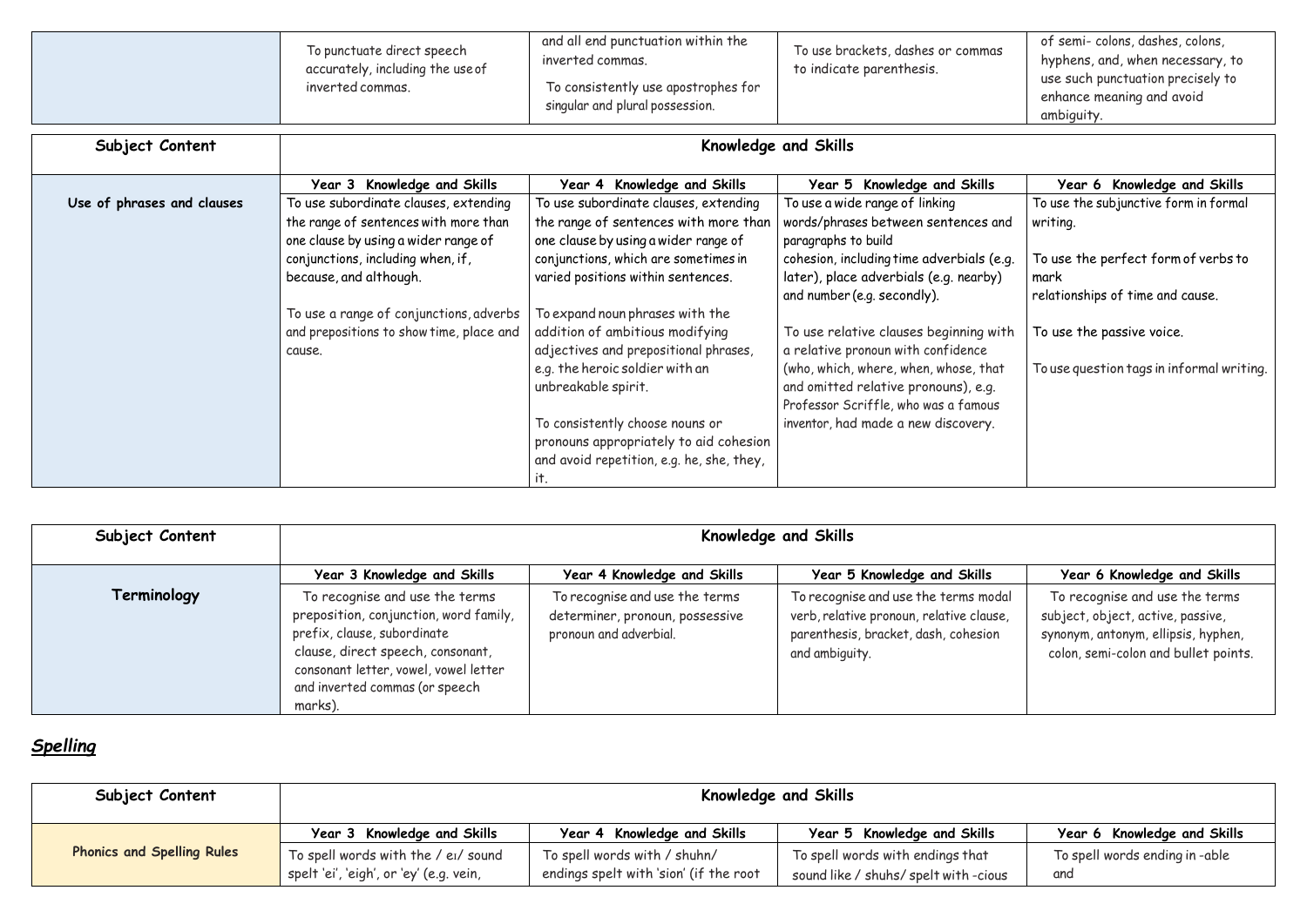| To punctuate direct speech<br>accurately, including the use of<br>inverted commas. | and all end punctuation within the<br>inverted commas.<br>To consistently use apostrophes for<br>singular and plural possession. | To use brackets, dashes or commas<br>to indicate parenthesis. | of semi-colons, dashes, colons,<br>hyphens, and, when necessary, to<br>use such punctuation precisely to<br>enhance meaning and avoid<br>ambiguity. |
|------------------------------------------------------------------------------------|----------------------------------------------------------------------------------------------------------------------------------|---------------------------------------------------------------|-----------------------------------------------------------------------------------------------------------------------------------------------------|
|------------------------------------------------------------------------------------|----------------------------------------------------------------------------------------------------------------------------------|---------------------------------------------------------------|-----------------------------------------------------------------------------------------------------------------------------------------------------|

| Subject Content | <b>Knowledge and Skills</b>                                                                                                                                                                                                        |                                                                                             |                                                                                                                                            |                                                                                                                                                    |
|-----------------|------------------------------------------------------------------------------------------------------------------------------------------------------------------------------------------------------------------------------------|---------------------------------------------------------------------------------------------|--------------------------------------------------------------------------------------------------------------------------------------------|----------------------------------------------------------------------------------------------------------------------------------------------------|
|                 | Year 3 Knowledge and Skills                                                                                                                                                                                                        | Year 4 Knowledge and Skills                                                                 | Year 5 Knowledge and Skills                                                                                                                | Year 6 Knowledge and Skills                                                                                                                        |
| Terminology     | To recognise and use the terms<br>preposition, conjunction, word family,<br>prefix, clause, subordinate<br>clause, direct speech, consonant,<br>consonant letter, vowel, vowel letter<br>and inverted commas (or speech<br>marks). | To recognise and use the terms<br>determiner, pronoun, possessive<br>pronoun and adverbial. | To recognise and use the terms modal<br>verb, relative pronoun, relative clause,<br>parenthesis, bracket, dash, cohesion<br>and ambiguity. | To recognise and use the terms<br>subject, object, active, passive,<br>synonym, antonym, ellipsis, hyphen,<br>colon, semi-colon and bullet points. |

# *Spelling*

| Subject Content            | Knowledge and Skills                                                                                                   |                                                                                                                        |                                                                                                                       |                                                                                 |
|----------------------------|------------------------------------------------------------------------------------------------------------------------|------------------------------------------------------------------------------------------------------------------------|-----------------------------------------------------------------------------------------------------------------------|---------------------------------------------------------------------------------|
|                            | Year 3 Knowledge and Skills                                                                                            | Year 4 Knowledge and Skills                                                                                            | Year 5 Knowledge and Skills                                                                                           | Year 6 Knowledge and Skills                                                     |
| Use of phrases and clauses | To use subordinate clauses, extending<br>the range of sentences with more than<br>one clause by using a wider range of | To use subordinate clauses, extending<br>the range of sentences with more than<br>one clause by using a wider range of | To use a wide range of linking<br>words/phrases between sentences and<br>paragraphs to build                          | To use the subjunctive form in formal<br>writing.                               |
|                            | conjunctions, including when, if,<br>because, and although.                                                            | conjunctions, which are sometimes in<br>varied positions within sentences.                                             | cohesion, including time adverbials (e.g.<br>later), place adverbials (e.g. nearby)<br>and number (e.g. secondly).    | To use the perfect form of verbs to<br>mark<br>relationships of time and cause. |
|                            | To use a range of conjunctions, adverbs                                                                                | To expand noun phrases with the                                                                                        |                                                                                                                       |                                                                                 |
|                            | and prepositions to show time, place and<br>cause.                                                                     | addition of ambitious modifying<br>adjectives and prepositional phrases,                                               | To use relative clauses beginning with<br>a relative pronoun with confidence                                          | To use the passive voice.                                                       |
|                            |                                                                                                                        | e.g. the heroic soldier with an<br>unbreakable spirit.                                                                 | (who, which, where, when, whose, that<br>and omitted relative pronouns), e.g.<br>Professor Scriffle, who was a famous | To use question tags in informal writing.                                       |
|                            |                                                                                                                        | To consistently choose nouns or<br>pronouns appropriately to aid cohesion                                              | inventor, had made a new discovery.                                                                                   |                                                                                 |
|                            |                                                                                                                        | and avoid repetition, e.g. he, she, they,<br>it.                                                                       |                                                                                                                       |                                                                                 |

| Subject Content                   | <b>Knowledge and Skills</b>                                                    |                                                                        |                                                                           |                                      |
|-----------------------------------|--------------------------------------------------------------------------------|------------------------------------------------------------------------|---------------------------------------------------------------------------|--------------------------------------|
|                                   | Year 3 Knowledge and Skills                                                    | Year 4 Knowledge and Skills                                            | Year 5 Knowledge and Skills                                               | Year 6 Knowledge and Skills          |
| <b>Phonics and Spelling Rules</b> | To spell words with the / ei/ sound<br>spelt 'ei', 'eigh', or 'ey' (e.g. vein, | To spell words with / shuhn/<br>endings spelt with 'sion' (if the root | To spell words with endings that<br>sound like / shuhs/ spelt with -cious | To spell words ending in-able<br>and |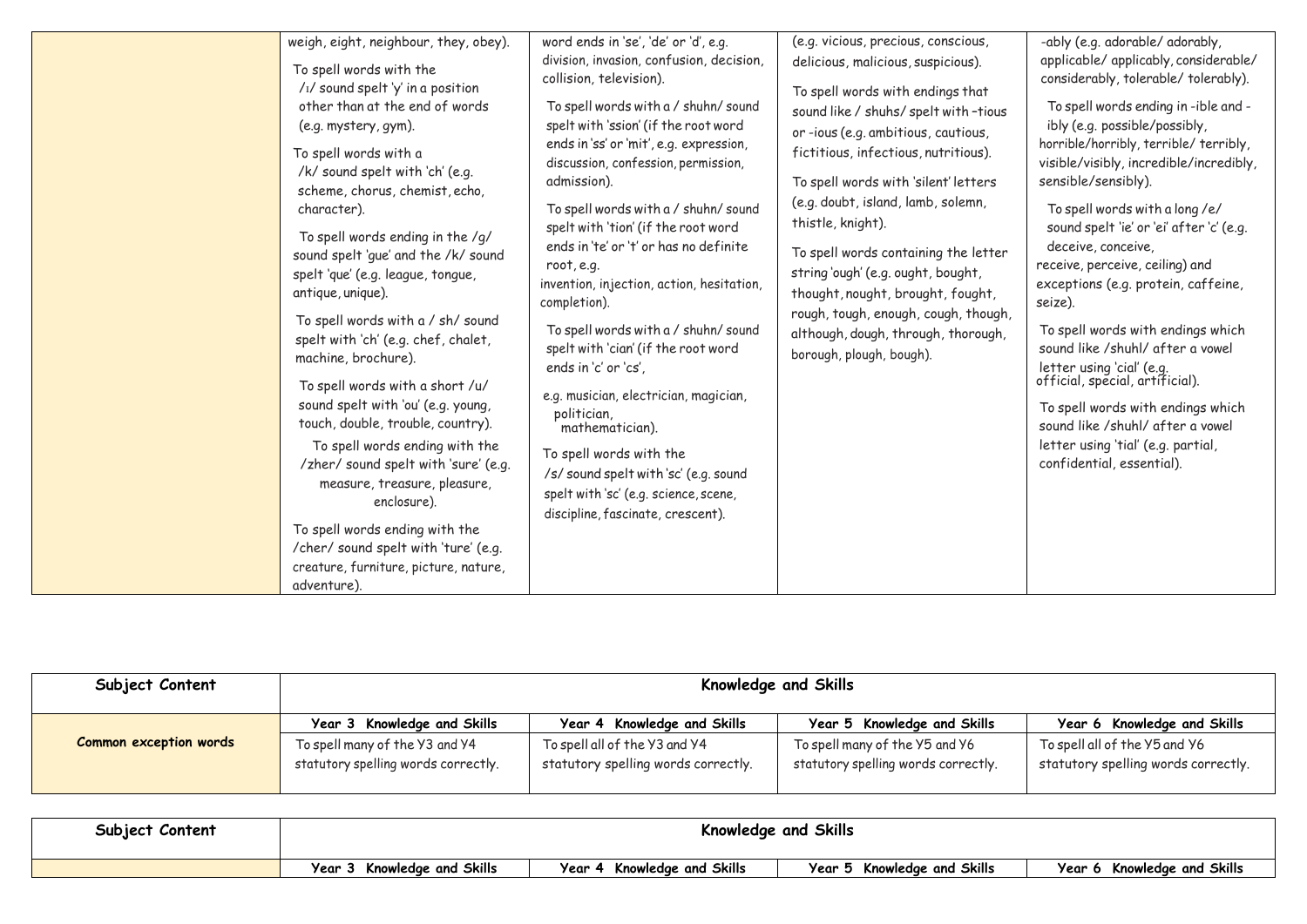| weigh, eight, neighbour, they, obey).<br>To spell words with the<br>$/1/$ sound spelt 'y' in a position<br>other than at the end of words<br>(e.g. mystery, gym).<br>To spell words with a<br>/k/ sound spelt with 'ch' (e.g.<br>scheme, chorus, chemist, echo,<br>character).<br>To spell words ending in the /g/<br>sound spelt 'que' and the /k/ sound<br>spelt 'que' (e.g. league, tongue,<br>antique, unique).<br>To spell words with a / sh/ sound<br>spelt with 'ch' (e.g. chef, chalet,<br>machine, brochure).<br>To spell words with a short /u/<br>sound spelt with 'ou' (e.g. young,<br>touch, double, trouble, country).<br>To spell words ending with the<br>/zher/ sound spelt with 'sure' (e.g.<br>measure, treasure, pleasure,<br>enclosure).<br>To spell words ending with the<br>/cher/ sound spelt with 'ture' (e.g.<br>creature, furniture, picture, nature,<br>adventure). | word ends in 'se', 'de' or 'd', e.g.<br>division, invasion, confusion, decision,<br>collision, television).<br>To spell words with a / shuhn/ sound<br>spelt with 'ssion' (if the root word<br>ends in 'ss' or 'mit', e.g. expression,<br>discussion, confession, permission,<br>admission).<br>To spell words with a / shuhn/ sound<br>spelt with 'tion' (if the root word<br>ends in 'te' or 't' or has no definite<br>root, e.g.<br>invention, injection, action, hesitation,<br>completion).<br>To spell words with a / shuhn/ sound<br>spelt with 'cian' (if the root word<br>ends in 'c' or 'cs'.<br>e.g. musician, electrician, magician,<br>politician,<br>mathematician).<br>To spell words with the<br>/s/ sound spelt with 'sc' (e.g. sound<br>spelt with 'sc' (e.g. science, scene,<br>discipline, fascinate, crescent). | (e.g. vicious, precious, conscious,<br>delicious, malicious, suspicious).<br>To spell words with endings that<br>sound like / shuhs/ spelt with-tious<br>or-ious (e.g. ambitious, cautious,<br>fictitious, infectious, nutritious).<br>To spell words with 'silent' letters<br>(e.g. doubt, island, lamb, solemn,<br>thistle, knight).<br>To spell words containing the letter<br>string 'ough' (e.g. ought, bought,<br>thought, nought, brought, fought,<br>rough, tough, enough, cough, though,<br>although, dough, through, thorough,<br>borough, plough, bough). | -ably (e.g. adorable/ adorably,<br>applicable/ applicably, considerable/<br>considerably, tolerable/tolerably).<br>To spell words ending in-ible and -<br>ibly (e.g. possible/possibly,<br>horrible/horribly, terrible/ terribly,<br>visible/visibly, incredible/incredibly,<br>sensible/sensibly).<br>To spell words with a long /e/<br>sound spelt 'ie' or 'ei' after 'c' (e.g.<br>deceive, conceive,<br>receive, perceive, ceiling) and<br>exceptions (e.g. protein, caffeine,<br>seize).<br>To spell words with endings which<br>sound like /shuhl/ after a vowel<br>letter using 'cial' (e.g.<br>official, special, artificial).<br>To spell words with endings which<br>sound like /shuhl/ after a vowel<br>letter using 'tial' (e.g. partial,<br>confidential, essential). |
|-------------------------------------------------------------------------------------------------------------------------------------------------------------------------------------------------------------------------------------------------------------------------------------------------------------------------------------------------------------------------------------------------------------------------------------------------------------------------------------------------------------------------------------------------------------------------------------------------------------------------------------------------------------------------------------------------------------------------------------------------------------------------------------------------------------------------------------------------------------------------------------------------|--------------------------------------------------------------------------------------------------------------------------------------------------------------------------------------------------------------------------------------------------------------------------------------------------------------------------------------------------------------------------------------------------------------------------------------------------------------------------------------------------------------------------------------------------------------------------------------------------------------------------------------------------------------------------------------------------------------------------------------------------------------------------------------------------------------------------------------|----------------------------------------------------------------------------------------------------------------------------------------------------------------------------------------------------------------------------------------------------------------------------------------------------------------------------------------------------------------------------------------------------------------------------------------------------------------------------------------------------------------------------------------------------------------------|-----------------------------------------------------------------------------------------------------------------------------------------------------------------------------------------------------------------------------------------------------------------------------------------------------------------------------------------------------------------------------------------------------------------------------------------------------------------------------------------------------------------------------------------------------------------------------------------------------------------------------------------------------------------------------------------------------------------------------------------------------------------------------------|
|-------------------------------------------------------------------------------------------------------------------------------------------------------------------------------------------------------------------------------------------------------------------------------------------------------------------------------------------------------------------------------------------------------------------------------------------------------------------------------------------------------------------------------------------------------------------------------------------------------------------------------------------------------------------------------------------------------------------------------------------------------------------------------------------------------------------------------------------------------------------------------------------------|--------------------------------------------------------------------------------------------------------------------------------------------------------------------------------------------------------------------------------------------------------------------------------------------------------------------------------------------------------------------------------------------------------------------------------------------------------------------------------------------------------------------------------------------------------------------------------------------------------------------------------------------------------------------------------------------------------------------------------------------------------------------------------------------------------------------------------------|----------------------------------------------------------------------------------------------------------------------------------------------------------------------------------------------------------------------------------------------------------------------------------------------------------------------------------------------------------------------------------------------------------------------------------------------------------------------------------------------------------------------------------------------------------------------|-----------------------------------------------------------------------------------------------------------------------------------------------------------------------------------------------------------------------------------------------------------------------------------------------------------------------------------------------------------------------------------------------------------------------------------------------------------------------------------------------------------------------------------------------------------------------------------------------------------------------------------------------------------------------------------------------------------------------------------------------------------------------------------|

| Subject Content               | <b>Knowledge and Skills</b>         |                                     |                                     |                                     |
|-------------------------------|-------------------------------------|-------------------------------------|-------------------------------------|-------------------------------------|
| <b>Common exception words</b> | Year 3 Knowledge and Skills         | Year 4 Knowledge and Skills         | Year 5 Knowledge and Skills         | Year 6 Knowledge and Skills         |
|                               | To spell many of the Y3 and Y4      | To spell all of the Y3 and Y4       | To spell many of the Y5 and Y6      | To spell all of the Y5 and Y6       |
|                               | statutory spelling words correctly. | statutory spelling words correctly. | statutory spelling words correctly. | statutory spelling words correctly. |

| Subject Content | Knowledge and Skills        |                             |                            |
|-----------------|-----------------------------|-----------------------------|----------------------------|
|                 | Year 3 Knowledge and Skills | Year 4 Knowledge and Skills | Year 5 Knowledge and Skill |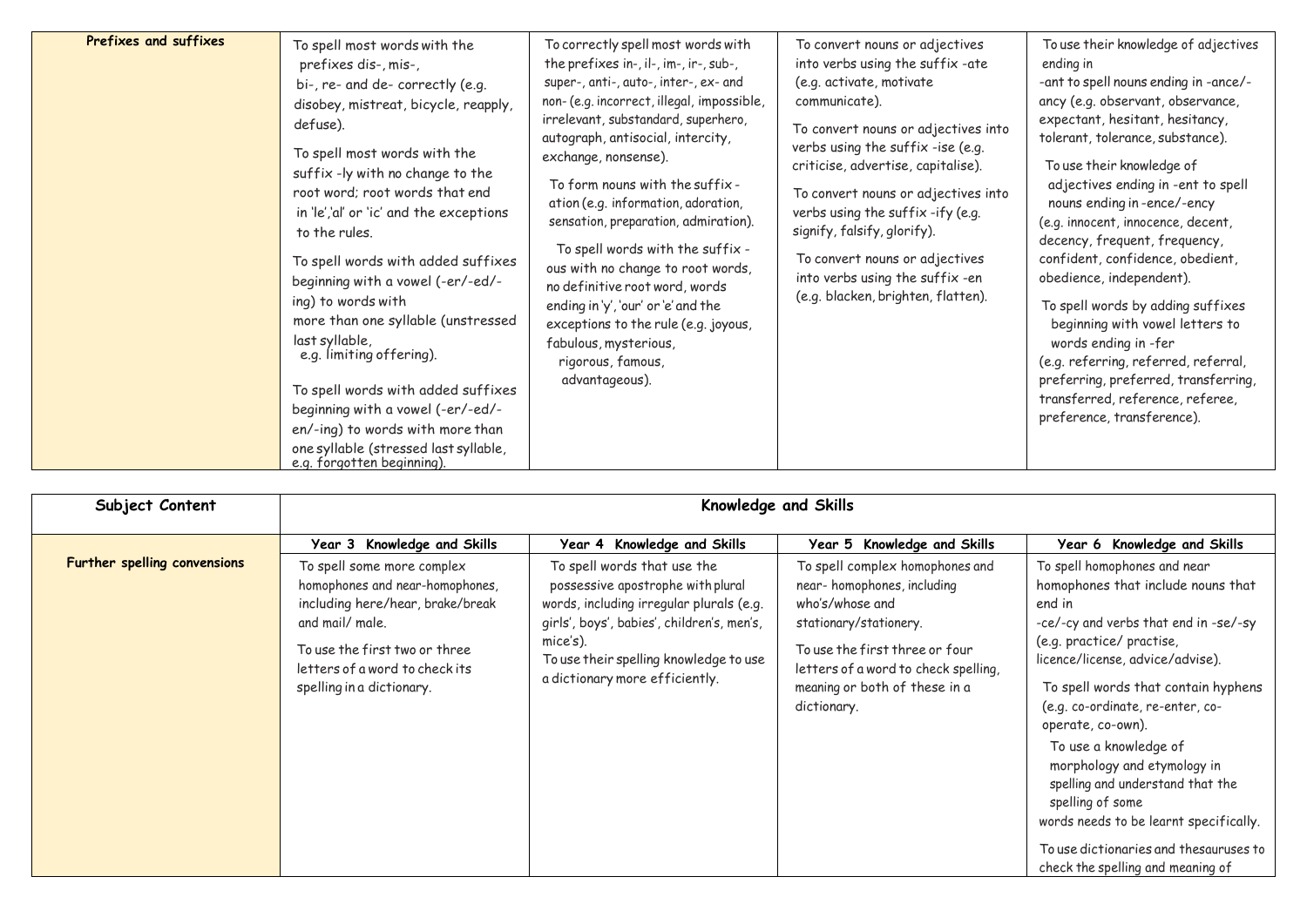| Prefixes and suffixes | To spell most words with the<br>prefixes dis-, mis-,<br>bi-, re- and de- correctly (e.g.<br>disobey, mistreat, bicycle, reapply,<br>defuse).<br>To spell most words with the<br>suffix -ly with no change to the<br>root word; root words that end<br>in 'le','al' or 'ic' and the exceptions<br>to the rules.<br>To spell words with added suffixes<br>beginning with a vowel (-er/-ed/-<br>ing) to words with<br>more than one syllable (unstressed<br>last syllable,<br>e.g. limiting offering).<br>To spell words with added suffixes<br>beginning with a vowel (-er/-ed/-<br>en/-ing) to words with more than<br>one syllable (stressed last syllable,<br>e.g. forgotten beginning). | To correctly spell most words with<br>the prefixes in-, il-, im-, ir-, sub-,<br>super-, anti-, auto-, inter-, ex- and<br>non- (e.g. incorrect, illegal, impossible,<br>irrelevant, substandard, superhero,<br>autograph, antisocial, intercity,<br>exchange, nonsense).<br>To form nouns with the suffix -<br>ation (e.g. information, adoration,<br>sensation, preparation, admiration).<br>To spell words with the suffix -<br>ous with no change to root words,<br>no definitive root word, words<br>ending in 'y', 'our' or 'e' and the<br>exceptions to the rule (e.g. joyous,<br>fabulous, mysterious,<br>rigorous, famous,<br>advantageous). | To convert nouns or adjectives<br>into verbs using the suffix-ate<br>(e.g. activate, motivate<br>communicate).<br>To convert nouns or adjectives into<br>verbs using the suffix -ise (e.g.<br>criticise, advertise, capitalise).<br>To convert nouns or adjectives into<br>verbs using the suffix-ify (e.g.<br>signify, falsify, glorify).<br>To convert nouns or adjectives<br>into verbs using the suffix-en<br>(e.g. blacken, brighten, flatten). | To use their knowledge of adjectives<br>ending in<br>-ant to spell nouns ending in -ance/-<br>ancy (e.g. observant, observance,<br>expectant, hesitant, hesitancy,<br>tolerant, tolerance, substance).<br>To use their knowledge of<br>adjectives ending in -ent to spell<br>nouns ending in-ence/-ency<br>(e.g. innocent, innocence, decent,<br>decency, frequent, frequency,<br>confident, confidence, obedient,<br>obedience, independent).<br>To spell words by adding suffixes<br>beginning with vowel letters to<br>words ending in -fer<br>(e.g. referring, referred, referral,<br>preferring, preferred, transferring,<br>transferred, reference, referee,<br>preference, transference). |
|-----------------------|-------------------------------------------------------------------------------------------------------------------------------------------------------------------------------------------------------------------------------------------------------------------------------------------------------------------------------------------------------------------------------------------------------------------------------------------------------------------------------------------------------------------------------------------------------------------------------------------------------------------------------------------------------------------------------------------|-----------------------------------------------------------------------------------------------------------------------------------------------------------------------------------------------------------------------------------------------------------------------------------------------------------------------------------------------------------------------------------------------------------------------------------------------------------------------------------------------------------------------------------------------------------------------------------------------------------------------------------------------------|------------------------------------------------------------------------------------------------------------------------------------------------------------------------------------------------------------------------------------------------------------------------------------------------------------------------------------------------------------------------------------------------------------------------------------------------------|--------------------------------------------------------------------------------------------------------------------------------------------------------------------------------------------------------------------------------------------------------------------------------------------------------------------------------------------------------------------------------------------------------------------------------------------------------------------------------------------------------------------------------------------------------------------------------------------------------------------------------------------------------------------------------------------------|

| Subject Content              | Knowledge and Skills                                                                                                                                                                                                 |                                                                                                                                                                                                                                                    |                                                                                                                                                                                                                                      |                                                                                                                                                                                                                                                                                                                                                                                                                                                                                                                                 |
|------------------------------|----------------------------------------------------------------------------------------------------------------------------------------------------------------------------------------------------------------------|----------------------------------------------------------------------------------------------------------------------------------------------------------------------------------------------------------------------------------------------------|--------------------------------------------------------------------------------------------------------------------------------------------------------------------------------------------------------------------------------------|---------------------------------------------------------------------------------------------------------------------------------------------------------------------------------------------------------------------------------------------------------------------------------------------------------------------------------------------------------------------------------------------------------------------------------------------------------------------------------------------------------------------------------|
|                              | Year 3 Knowledge and Skills                                                                                                                                                                                          | Year 4 Knowledge and Skills                                                                                                                                                                                                                        | Year 5 Knowledge and Skills                                                                                                                                                                                                          | Year 6 Knowledge and Skills                                                                                                                                                                                                                                                                                                                                                                                                                                                                                                     |
| Further spelling convensions | To spell some more complex<br>homophones and near-homophones,<br>including here/hear, brake/break<br>and mail/ male.<br>To use the first two or three<br>letters of a word to check its<br>spelling in a dictionary. | To spell words that use the<br>possessive apostrophe with plural<br>words, including irregular plurals (e.g.<br>girls', boys', babies', children's, men's,<br>mice's).<br>To use their spelling knowledge to use<br>a dictionary more efficiently. | To spell complex homophones and<br>near-homophones, including<br>who's/whose and<br>stationary/stationery.<br>To use the first three or four<br>letters of a word to check spelling,<br>meaning or both of these in a<br>dictionary. | To spell homophones and near<br>homophones that include nouns that<br>end in<br>-ce/-cy and verbs that end in -se/-sy<br>(e.g. practice/ practise,<br>licence/license, advice/advise).<br>To spell words that contain hyphens<br>(e.g. co-ordinate, re-enter, co-<br>operate, co-own).<br>To use a knowledge of<br>morphology and etymology in<br>spelling and understand that the<br>spelling of some<br>words needs to be learnt specifically.<br>To use dictionaries and thesauruses to<br>check the spelling and meaning of |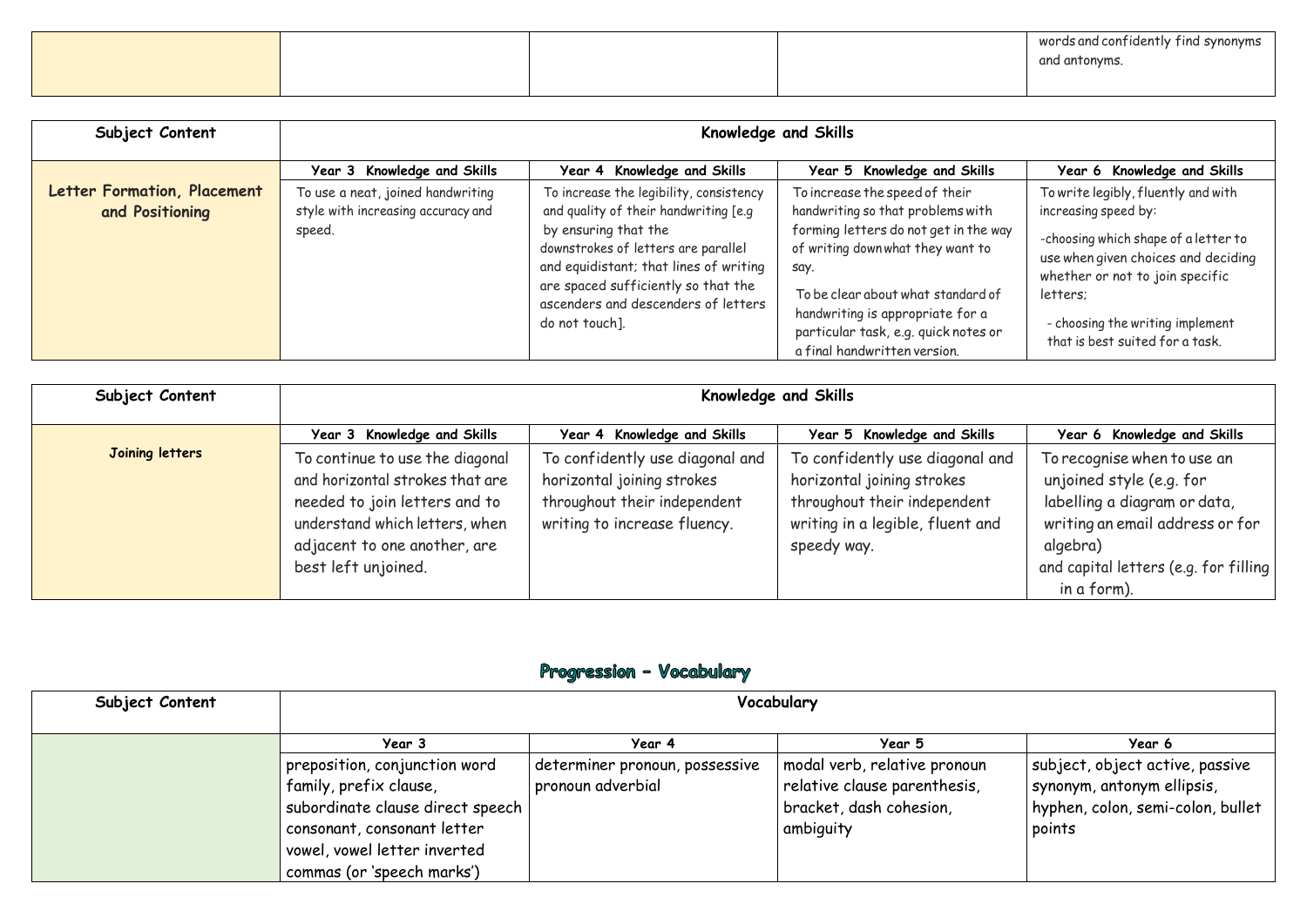| Subject Content | Vocabulary                                     |                                |                                           |                                   |
|-----------------|------------------------------------------------|--------------------------------|-------------------------------------------|-----------------------------------|
|                 | Year 3                                         | Year 4                         | Year 5                                    | Year 6                            |
|                 | preposition, conjunction word                  | determiner pronoun, possessive | modal verb, relative pronoun              | subject, object active, passive   |
|                 | family, prefix clause,                         | pronoun adverbial              | $^{\dagger}$ relative clause parenthesis, | synonym, antonym ellipsis,        |
|                 | subordinate clause direct speech               |                                | bracket, dash cohesion,                   | hyphen, colon, semi-colon, bullet |
|                 | $^\text{\text{!}}$ consonant, consonant letter |                                | ambiguity                                 | points                            |
|                 | vowel, vowel letter inverted                   |                                |                                           |                                   |
|                 | commas (or 'speech marks')                     |                                |                                           |                                   |

words and confidently find synonyms and antonyms.

| Subject Content                                | Knowledge and Skills                                                                                             |                                                                                                                                                                                |                                                                                                                                                                                  |                                                                                                                                                                           |  |
|------------------------------------------------|------------------------------------------------------------------------------------------------------------------|--------------------------------------------------------------------------------------------------------------------------------------------------------------------------------|----------------------------------------------------------------------------------------------------------------------------------------------------------------------------------|---------------------------------------------------------------------------------------------------------------------------------------------------------------------------|--|
| Letter Formation, Placement<br>and Positioning | Year 3 Knowledge and Skills<br>To use a neat, joined handwriting<br>style with increasing accuracy and<br>speed. | Year 4 Knowledge and Skills<br>To increase the legibility, consistency<br>and quality of their handwriting [e.g<br>by ensuring that the<br>downstrokes of letters are parallel | Year 5 Knowledge and Skills<br>To increase the speed of their<br>handwriting so that problems with<br>forming letters do not get in the way<br>of writing down what they want to | Year 6 Knowledge and Skills<br>To write legibly, fluently and with<br>increasing speed by:<br>-choosing which shape of a letter to<br>use when given choices and deciding |  |
|                                                |                                                                                                                  | and equidistant; that lines of writing<br>are spaced sufficiently so that the<br>ascenders and descenders of letters<br>do not touch].                                         | say.<br>To be clear about what standard of<br>handwriting is appropriate for a<br>particular task, e.g. quick notes or<br>a final handwritten version.                           | whether or not to join specific<br>letters;<br>- choosing the writing implement<br>that is best suited for a task.                                                        |  |

| Subject Content        | Knowledge and Skills                                                                                                                                                                         |                                                                                                                               |                                                                                                                                                  |                                                                                                                                                                                                |  |
|------------------------|----------------------------------------------------------------------------------------------------------------------------------------------------------------------------------------------|-------------------------------------------------------------------------------------------------------------------------------|--------------------------------------------------------------------------------------------------------------------------------------------------|------------------------------------------------------------------------------------------------------------------------------------------------------------------------------------------------|--|
|                        | Year 3 Knowledge and Skills                                                                                                                                                                  | Year 4 Knowledge and Skills                                                                                                   | Year 5 Knowledge and Skills                                                                                                                      | Year 6 Knowledge and Skills                                                                                                                                                                    |  |
| <b>Joining letters</b> | To continue to use the diagonal<br>and horizontal strokes that are<br>needed to join letters and to<br>understand which letters, when<br>adjacent to one another, are<br>best left unjoined. | To confidently use diagonal and<br>horizontal joining strokes<br>throughout their independent<br>writing to increase fluency. | To confidently use diagonal and<br>horizontal joining strokes<br>throughout their independent<br>writing in a legible, fluent and<br>speedy way. | To recognise when to use an<br>unjoined style (e.g. for<br>labelling a diagram or data,<br>writing an email address or for<br>algebra)<br>and capital letters (e.g. for filling<br>in a form). |  |

# Progression - Vocabulary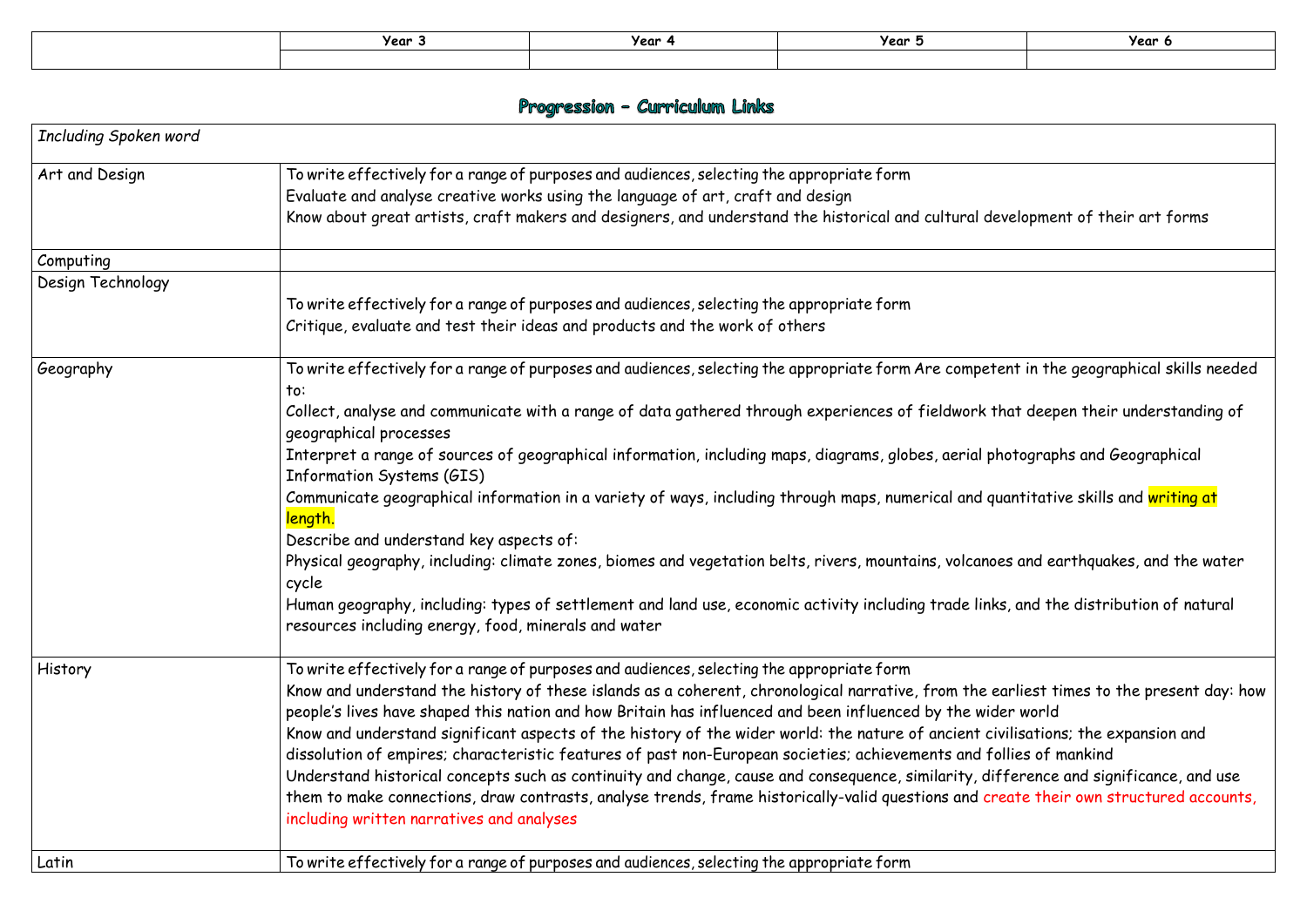| year .<br>. . | Year | Year : |
|---------------|------|--------|
|               |      |        |

|                       | Year 3                                                                                                                                                                                                                                                                                                                                                                                                                                                                                                                                                                                                                                                                                                                                                                                                                                                                                                                                                                                                                              | Year 4                                                                                                                                                                                                                                                                                                                                                                                                                                                                                                                                                                                                                                                                                                                                                                                                                                                                                                | Year 5 | Year 6 |
|-----------------------|-------------------------------------------------------------------------------------------------------------------------------------------------------------------------------------------------------------------------------------------------------------------------------------------------------------------------------------------------------------------------------------------------------------------------------------------------------------------------------------------------------------------------------------------------------------------------------------------------------------------------------------------------------------------------------------------------------------------------------------------------------------------------------------------------------------------------------------------------------------------------------------------------------------------------------------------------------------------------------------------------------------------------------------|-------------------------------------------------------------------------------------------------------------------------------------------------------------------------------------------------------------------------------------------------------------------------------------------------------------------------------------------------------------------------------------------------------------------------------------------------------------------------------------------------------------------------------------------------------------------------------------------------------------------------------------------------------------------------------------------------------------------------------------------------------------------------------------------------------------------------------------------------------------------------------------------------------|--------|--------|
|                       |                                                                                                                                                                                                                                                                                                                                                                                                                                                                                                                                                                                                                                                                                                                                                                                                                                                                                                                                                                                                                                     | Progression - Curriculum Links                                                                                                                                                                                                                                                                                                                                                                                                                                                                                                                                                                                                                                                                                                                                                                                                                                                                        |        |        |
| Including Spoken word |                                                                                                                                                                                                                                                                                                                                                                                                                                                                                                                                                                                                                                                                                                                                                                                                                                                                                                                                                                                                                                     |                                                                                                                                                                                                                                                                                                                                                                                                                                                                                                                                                                                                                                                                                                                                                                                                                                                                                                       |        |        |
| Art and Design        |                                                                                                                                                                                                                                                                                                                                                                                                                                                                                                                                                                                                                                                                                                                                                                                                                                                                                                                                                                                                                                     | To write effectively for a range of purposes and audiences, selecting the appropriate form<br>Evaluate and analyse creative works using the language of art, craft and design<br>Know about great artists, craft makers and designers, and understand the historical and cultural development of their art forms                                                                                                                                                                                                                                                                                                                                                                                                                                                                                                                                                                                      |        |        |
| Computing             |                                                                                                                                                                                                                                                                                                                                                                                                                                                                                                                                                                                                                                                                                                                                                                                                                                                                                                                                                                                                                                     |                                                                                                                                                                                                                                                                                                                                                                                                                                                                                                                                                                                                                                                                                                                                                                                                                                                                                                       |        |        |
| Design Technology     |                                                                                                                                                                                                                                                                                                                                                                                                                                                                                                                                                                                                                                                                                                                                                                                                                                                                                                                                                                                                                                     | To write effectively for a range of purposes and audiences, selecting the appropriate form<br>Critique, evaluate and test their ideas and products and the work of others                                                                                                                                                                                                                                                                                                                                                                                                                                                                                                                                                                                                                                                                                                                             |        |        |
| Geography             | To write effectively for a range of purposes and audiences, selecting the appropriate form Are competent in the geographical skills needed<br>to:<br>Collect, analyse and communicate with a range of data gathered through experiences of fieldwork that deepen their understanding of<br>geographical processes<br>Interpret a range of sources of geographical information, including maps, diagrams, globes, aerial photographs and Geographical<br>Information Systems (GIS)<br>Communicate geographical information in a variety of ways, including through maps, numerical and quantitative skills and writing at<br>length.<br>Describe and understand key aspects of:<br>Physical geography, including: climate zones, biomes and vegetation belts, rivers, mountains, volcanoes and earthquakes, and the water<br>cycle<br>Human geography, including: types of settlement and land use, economic activity including trade links, and the distribution of natural<br>resources including energy, food, minerals and water |                                                                                                                                                                                                                                                                                                                                                                                                                                                                                                                                                                                                                                                                                                                                                                                                                                                                                                       |        |        |
| History               | including written narratives and analyses                                                                                                                                                                                                                                                                                                                                                                                                                                                                                                                                                                                                                                                                                                                                                                                                                                                                                                                                                                                           | To write effectively for a range of purposes and audiences, selecting the appropriate form<br>Know and understand the history of these islands as a coherent, chronological narrative, from the earliest times to the present day: how<br>people's lives have shaped this nation and how Britain has influenced and been influenced by the wider world<br>Know and understand significant aspects of the history of the wider world: the nature of ancient civilisations; the expansion and<br>dissolution of empires; characteristic features of past non-European societies; achievements and follies of mankind<br>Understand historical concepts such as continuity and change, cause and consequence, similarity, difference and significance, and use<br>them to make connections, draw contrasts, analyse trends, frame historically-valid questions and create their own structured accounts, |        |        |
| Latin                 |                                                                                                                                                                                                                                                                                                                                                                                                                                                                                                                                                                                                                                                                                                                                                                                                                                                                                                                                                                                                                                     | To write effectively for a range of purposes and audiences, selecting the appropriate form                                                                                                                                                                                                                                                                                                                                                                                                                                                                                                                                                                                                                                                                                                                                                                                                            |        |        |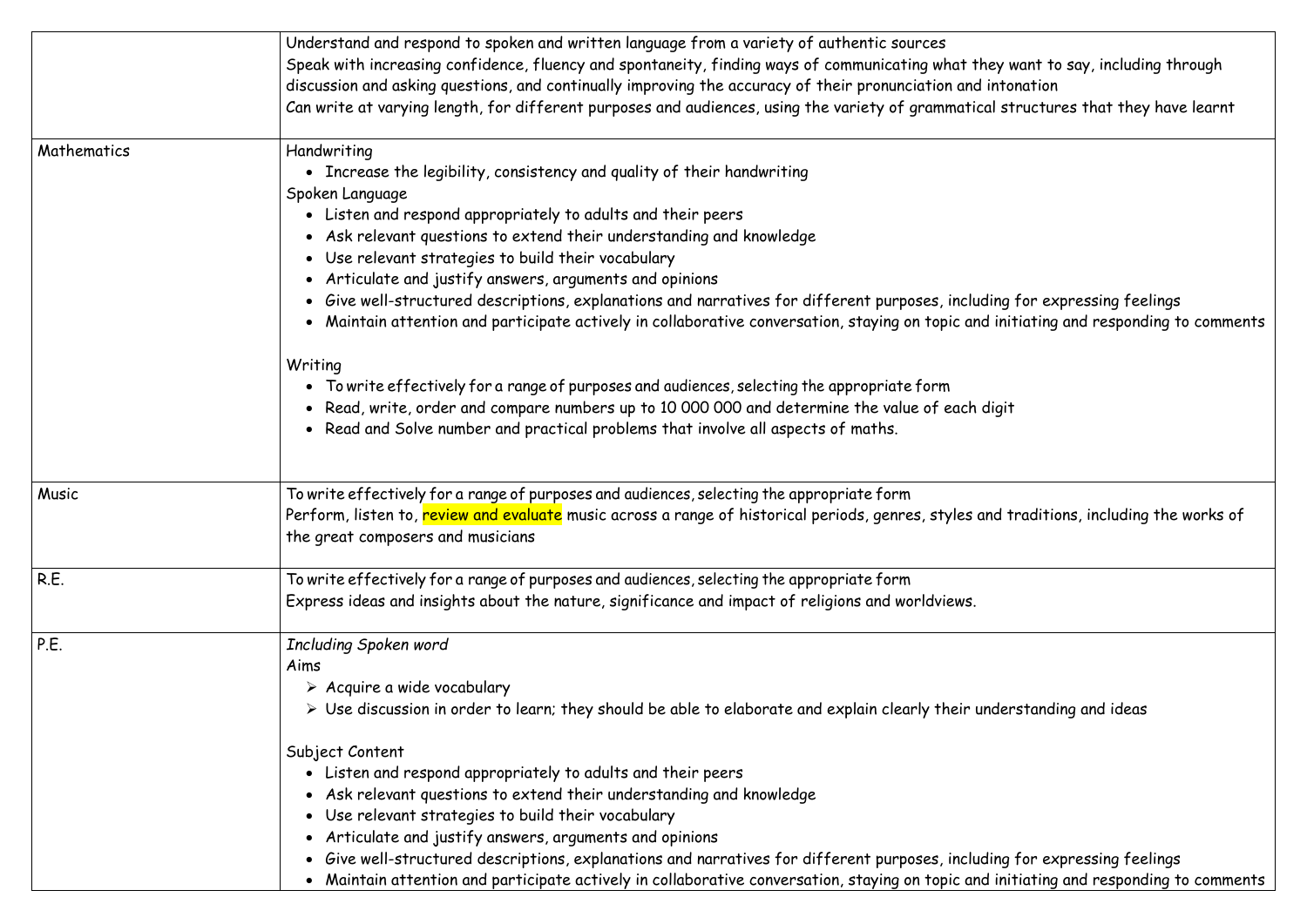|             | Understand and respond to spoken and written language from a variety of authentic sources<br>Speak with increasing confidence, fluency and spontaneity, finding ways of communicating what they v<br>discussion and asking questions, and continually improving the accuracy of their pronunciation and into<br>Can write at varying length, for different purposes and audiences, using the variety of grammatical st                                                                                                                                                                                                                                                                     |
|-------------|--------------------------------------------------------------------------------------------------------------------------------------------------------------------------------------------------------------------------------------------------------------------------------------------------------------------------------------------------------------------------------------------------------------------------------------------------------------------------------------------------------------------------------------------------------------------------------------------------------------------------------------------------------------------------------------------|
| Mathematics | Handwriting<br>• Increase the legibility, consistency and quality of their handwriting<br>Spoken Language<br>• Listen and respond appropriately to adults and their peers<br>• Ask relevant questions to extend their understanding and knowledge<br>• Use relevant strategies to build their vocabulary<br>• Articulate and justify answers, arguments and opinions<br>Give well-structured descriptions, explanations and narratives for different purposes, including<br>Maintain attention and participate actively in collaborative conversation, staying on topic and init<br>Writing                                                                                                |
|             | • To write effectively for a range of purposes and audiences, selecting the appropriate form<br>• Read, write, order and compare numbers up to 10 000 000 and determine the value of each digit<br>• Read and Solve number and practical problems that involve all aspects of maths.                                                                                                                                                                                                                                                                                                                                                                                                       |
| Music       | To write effectively for a range of purposes and audiences, selecting the appropriate form<br>Perform, listen to, review and evaluate music across a range of historical periods, genres, styles and t<br>the great composers and musicians                                                                                                                                                                                                                                                                                                                                                                                                                                                |
| R.E.        | To write effectively for a range of purposes and audiences, selecting the appropriate form<br>Express ideas and insights about the nature, significance and impact of religions and worldviews.                                                                                                                                                                                                                                                                                                                                                                                                                                                                                            |
| P.E.        | Including Spoken word<br>Aims<br>$\triangleright$ Acquire a wide vocabulary<br>$\triangleright$ Use discussion in order to learn; they should be able to elaborate and explain clearly their under<br>Subject Content<br>• Listen and respond appropriately to adults and their peers<br>• Ask relevant questions to extend their understanding and knowledge<br>• Use relevant strategies to build their vocabulary<br>Articulate and justify answers, arguments and opinions<br>Give well-structured descriptions, explanations and narratives for different purposes, including<br>Maintain attention and participate actively in collaborative conversation, staying on topic and init |

hey want to say, including through  $\epsilon$ intonation cal structures that they have learnt

## ding for expressing feelings d initiating and responding to comments

and traditions, including the works of

nderstanding and ideas

ding for expressing feelings d initiating and responding to comments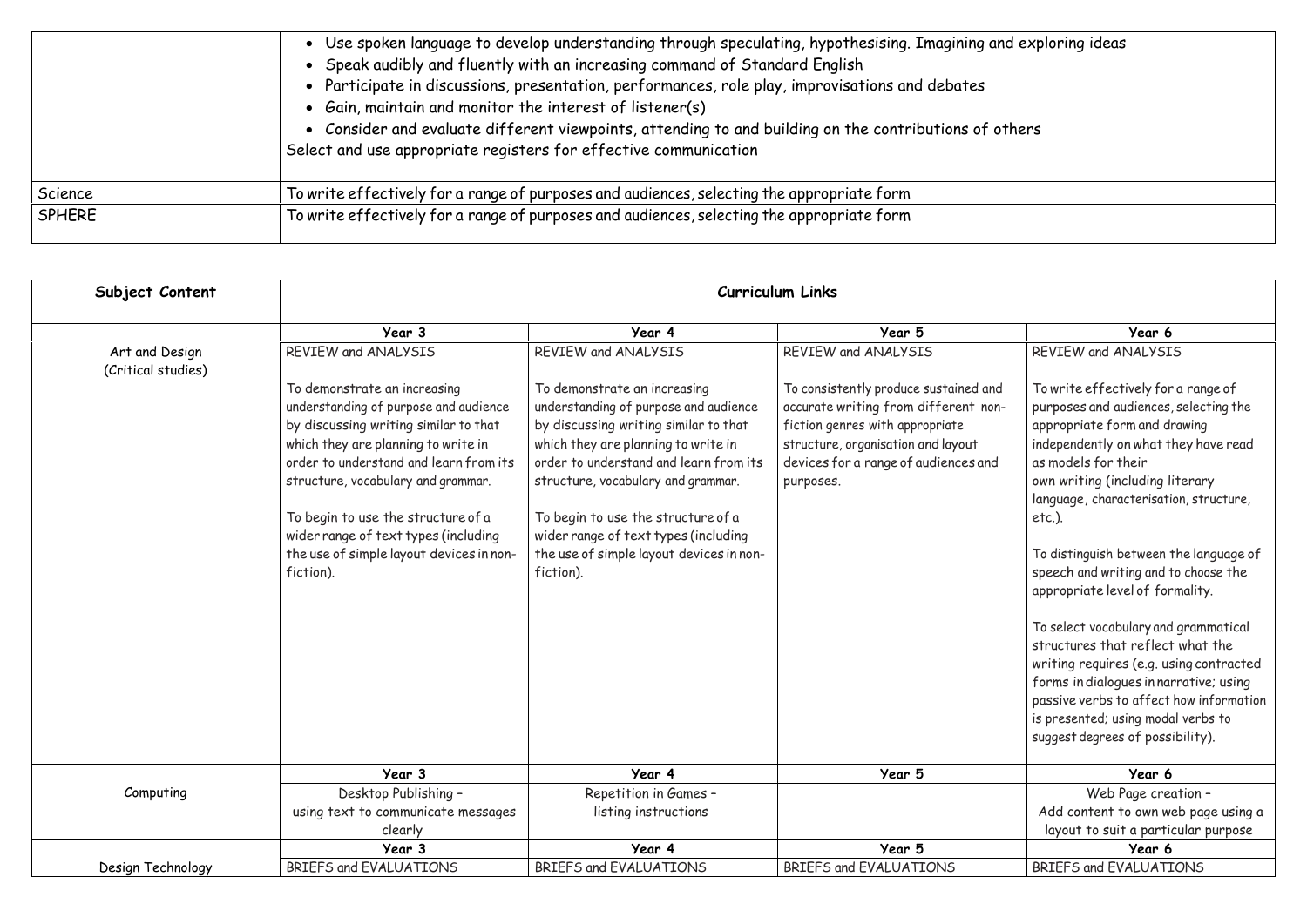|               | • Use spoken language to develop understanding through speculating, hypothesising. Imagining and exp<br>• Speak audibly and fluently with an increasing command of Standard English<br>• Participate in discussions, presentation, performances, role play, improvisations and debates<br>• Gain, maintain and monitor the interest of listener(s)<br>• Consider and evaluate different viewpoints, attending to and building on the contributions of others<br>Select and use appropriate registers for effective communication |
|---------------|----------------------------------------------------------------------------------------------------------------------------------------------------------------------------------------------------------------------------------------------------------------------------------------------------------------------------------------------------------------------------------------------------------------------------------------------------------------------------------------------------------------------------------|
| Science       | To write effectively for a range of purposes and audiences, selecting the appropriate form                                                                                                                                                                                                                                                                                                                                                                                                                                       |
| <b>SPHERE</b> | To write effectively for a range of purposes and audiences, selecting the appropriate form                                                                                                                                                                                                                                                                                                                                                                                                                                       |
|               |                                                                                                                                                                                                                                                                                                                                                                                                                                                                                                                                  |

| Subject Content                      | <b>Curriculum Links</b>                                                                                                                                                                                                                                                                                                                                                      |                                                                                                                                                                                                                                                                                                                                                                              |                                                                                                                                                                                                             |                                                                                                                                                                                                                                                                                                                                                                                                                                                                                                                                                                                                                                                                                  |  |  |  |  |
|--------------------------------------|------------------------------------------------------------------------------------------------------------------------------------------------------------------------------------------------------------------------------------------------------------------------------------------------------------------------------------------------------------------------------|------------------------------------------------------------------------------------------------------------------------------------------------------------------------------------------------------------------------------------------------------------------------------------------------------------------------------------------------------------------------------|-------------------------------------------------------------------------------------------------------------------------------------------------------------------------------------------------------------|----------------------------------------------------------------------------------------------------------------------------------------------------------------------------------------------------------------------------------------------------------------------------------------------------------------------------------------------------------------------------------------------------------------------------------------------------------------------------------------------------------------------------------------------------------------------------------------------------------------------------------------------------------------------------------|--|--|--|--|
|                                      | Year 3                                                                                                                                                                                                                                                                                                                                                                       | Year 4                                                                                                                                                                                                                                                                                                                                                                       | Year 5                                                                                                                                                                                                      | Year 6                                                                                                                                                                                                                                                                                                                                                                                                                                                                                                                                                                                                                                                                           |  |  |  |  |
| Art and Design<br>(Critical studies) | REVIEW and ANALYSIS                                                                                                                                                                                                                                                                                                                                                          | REVIEW and ANALYSIS                                                                                                                                                                                                                                                                                                                                                          | REVIEW and ANALYSIS                                                                                                                                                                                         | REVIEW and ANALYSIS                                                                                                                                                                                                                                                                                                                                                                                                                                                                                                                                                                                                                                                              |  |  |  |  |
|                                      | To demonstrate an increasing<br>understanding of purpose and audience<br>by discussing writing similar to that<br>which they are planning to write in<br>order to understand and learn from its<br>structure, vocabulary and grammar.<br>To begin to use the structure of a<br>wider range of text types (including<br>the use of simple layout devices in non-<br>fiction). | To demonstrate an increasing<br>understanding of purpose and audience<br>by discussing writing similar to that<br>which they are planning to write in<br>order to understand and learn from its<br>structure, vocabulary and grammar.<br>To begin to use the structure of a<br>wider range of text types (including<br>the use of simple layout devices in non-<br>fiction). | To consistently produce sustained and<br>accurate writing from different non-<br>fiction genres with appropriate<br>structure, organisation and layout<br>devices for a range of audiences and<br>purposes. | To write effectively for a range of<br>purposes and audiences, selecting the<br>appropriate form and drawing<br>independently on what they have read<br>as models for their<br>own writing (including literary<br>language, characterisation, structure,<br>$etc.$ ).<br>To distinguish between the language of<br>speech and writing and to choose the<br>appropriate level of formality.<br>To select vocabulary and grammatical<br>structures that reflect what the<br>writing requires (e.g. using contracted<br>forms in dialogues in narrative; using<br>passive verbs to affect how information<br>is presented; using modal verbs to<br>suggest degrees of possibility). |  |  |  |  |
|                                      | Year 3                                                                                                                                                                                                                                                                                                                                                                       | Year 4                                                                                                                                                                                                                                                                                                                                                                       | Year 5                                                                                                                                                                                                      | Year 6                                                                                                                                                                                                                                                                                                                                                                                                                                                                                                                                                                                                                                                                           |  |  |  |  |
| Computing                            | Desktop Publishing -                                                                                                                                                                                                                                                                                                                                                         | Repetition in Games -                                                                                                                                                                                                                                                                                                                                                        |                                                                                                                                                                                                             | Web Page creation -                                                                                                                                                                                                                                                                                                                                                                                                                                                                                                                                                                                                                                                              |  |  |  |  |
|                                      | using text to communicate messages                                                                                                                                                                                                                                                                                                                                           | listing instructions                                                                                                                                                                                                                                                                                                                                                         |                                                                                                                                                                                                             | Add content to own web page using a                                                                                                                                                                                                                                                                                                                                                                                                                                                                                                                                                                                                                                              |  |  |  |  |
|                                      | clearly                                                                                                                                                                                                                                                                                                                                                                      |                                                                                                                                                                                                                                                                                                                                                                              |                                                                                                                                                                                                             | layout to suit a particular purpose                                                                                                                                                                                                                                                                                                                                                                                                                                                                                                                                                                                                                                              |  |  |  |  |
|                                      | Year 3                                                                                                                                                                                                                                                                                                                                                                       | Year 4                                                                                                                                                                                                                                                                                                                                                                       | Year 5                                                                                                                                                                                                      | Year 6                                                                                                                                                                                                                                                                                                                                                                                                                                                                                                                                                                                                                                                                           |  |  |  |  |
| Design Technology                    | BRIEFS and EVALUATIONS                                                                                                                                                                                                                                                                                                                                                       | <b>BRIEFS and EVALUATIONS</b>                                                                                                                                                                                                                                                                                                                                                | BRIEFS and EVALUATIONS                                                                                                                                                                                      | BRIEFS and EVALUATIONS                                                                                                                                                                                                                                                                                                                                                                                                                                                                                                                                                                                                                                                           |  |  |  |  |

# and exploring ideas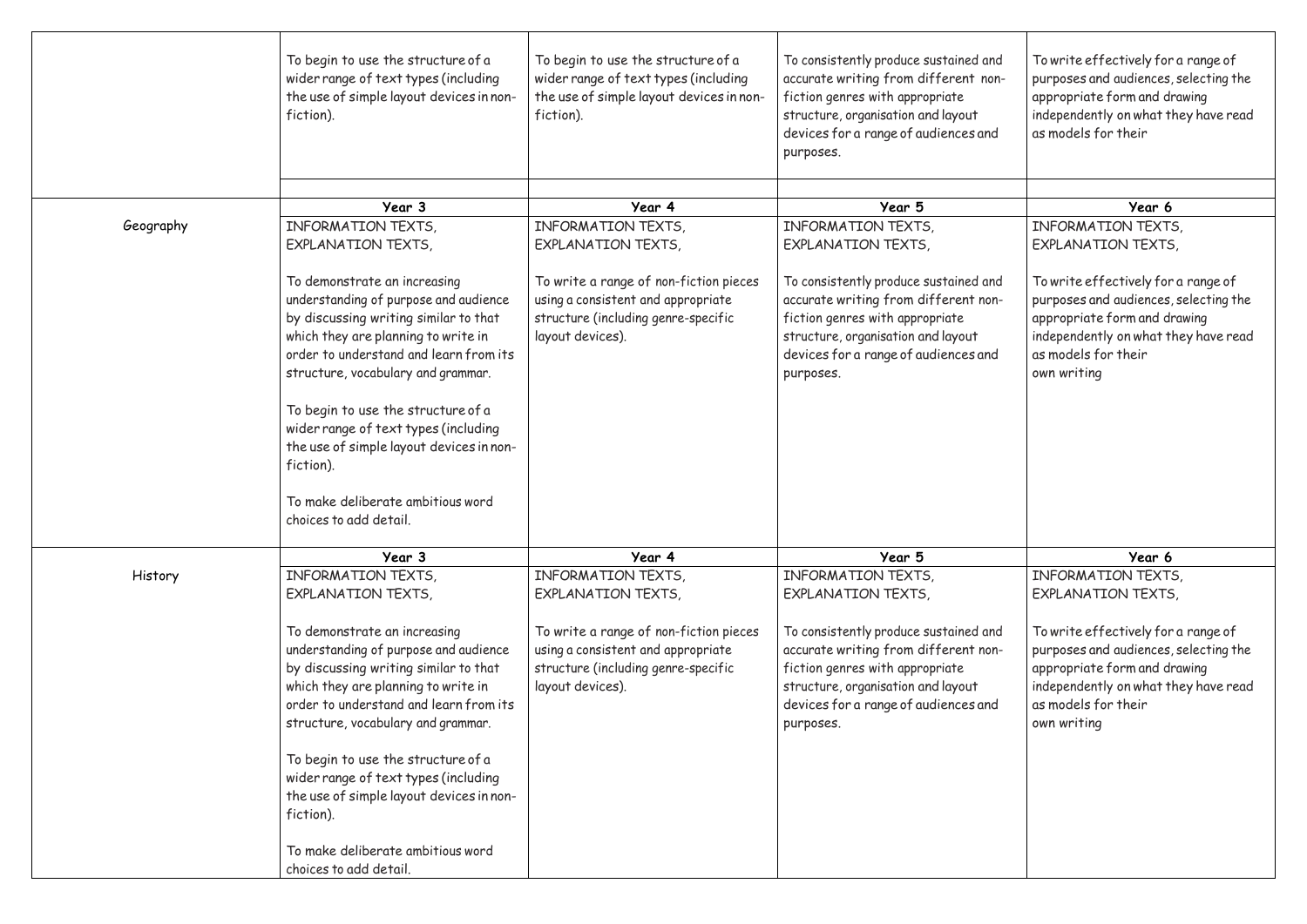|           | To begin to use the structure of a<br>wider range of text types (including<br>the use of simple layout devices in non-<br>fiction).                                                                                                                                                                                                                                          | To begin to use the structure of a<br>wider range of text types (including<br>the use of simple layout devices in non-<br>fiction).     | To consistently produce sustained and<br>accurate writing from different non-<br>fiction genres with appropriate<br>structure, organisation and layout<br>devices for a range of audiences and<br>purposes. | To write effectively for a range of<br>purposes and audiences, selecting the<br>appropriate form and drawing<br>independently on what they have read<br>as models for their                |
|-----------|------------------------------------------------------------------------------------------------------------------------------------------------------------------------------------------------------------------------------------------------------------------------------------------------------------------------------------------------------------------------------|-----------------------------------------------------------------------------------------------------------------------------------------|-------------------------------------------------------------------------------------------------------------------------------------------------------------------------------------------------------------|--------------------------------------------------------------------------------------------------------------------------------------------------------------------------------------------|
|           | Year 3                                                                                                                                                                                                                                                                                                                                                                       | Year 4                                                                                                                                  | Year 5                                                                                                                                                                                                      | Year 6                                                                                                                                                                                     |
| Geography | INFORMATION TEXTS,                                                                                                                                                                                                                                                                                                                                                           | INFORMATION TEXTS,                                                                                                                      | INFORMATION TEXTS,                                                                                                                                                                                          | INFORMATION TEXTS,                                                                                                                                                                         |
|           | <b>EXPLANATION TEXTS,</b>                                                                                                                                                                                                                                                                                                                                                    | <b>EXPLANATION TEXTS,</b>                                                                                                               | <b>EXPLANATION TEXTS,</b>                                                                                                                                                                                   | <b>EXPLANATION TEXTS,</b>                                                                                                                                                                  |
|           | To demonstrate an increasing<br>understanding of purpose and audience<br>by discussing writing similar to that<br>which they are planning to write in<br>order to understand and learn from its<br>structure, vocabulary and grammar.<br>To begin to use the structure of a<br>wider range of text types (including                                                          | To write a range of non-fiction pieces<br>using a consistent and appropriate<br>structure (including genre-specific<br>layout devices). | To consistently produce sustained and<br>accurate writing from different non-<br>fiction genres with appropriate<br>structure, organisation and layout<br>devices for a range of audiences and<br>purposes. | To write effectively for a range of<br>purposes and audiences, selecting the<br>appropriate form and drawing<br>independently on what they have read<br>as models for their<br>own writing |
|           | the use of simple layout devices in non-<br>fiction).<br>To make deliberate ambitious word                                                                                                                                                                                                                                                                                   |                                                                                                                                         |                                                                                                                                                                                                             |                                                                                                                                                                                            |
|           | choices to add detail.                                                                                                                                                                                                                                                                                                                                                       |                                                                                                                                         |                                                                                                                                                                                                             |                                                                                                                                                                                            |
|           | Year 3                                                                                                                                                                                                                                                                                                                                                                       | Year 4                                                                                                                                  | Year 5                                                                                                                                                                                                      | Year 6                                                                                                                                                                                     |
| History   | INFORMATION TEXTS,<br><b>EXPLANATION TEXTS,</b>                                                                                                                                                                                                                                                                                                                              | INFORMATION TEXTS,<br><b>EXPLANATION TEXTS,</b>                                                                                         | INFORMATION TEXTS,<br><b>EXPLANATION TEXTS,</b>                                                                                                                                                             | INFORMATION TEXTS,<br><b>EXPLANATION TEXTS,</b>                                                                                                                                            |
|           | To demonstrate an increasing<br>understanding of purpose and audience<br>by discussing writing similar to that<br>which they are planning to write in<br>order to understand and learn from its<br>structure, vocabulary and grammar.<br>To begin to use the structure of a<br>wider range of text types (including<br>the use of simple layout devices in non-<br>fiction). | To write a range of non-fiction pieces<br>using a consistent and appropriate<br>structure (including genre-specific<br>layout devices). | To consistently produce sustained and<br>accurate writing from different non-<br>fiction genres with appropriate<br>structure, organisation and layout<br>devices for a range of audiences and<br>purposes. | To write effectively for a range of<br>purposes and audiences, selecting the<br>appropriate form and drawing<br>independently on what they have read<br>as models for their<br>own writing |
|           | To make deliberate ambitious word<br>choices to add detail.                                                                                                                                                                                                                                                                                                                  |                                                                                                                                         |                                                                                                                                                                                                             |                                                                                                                                                                                            |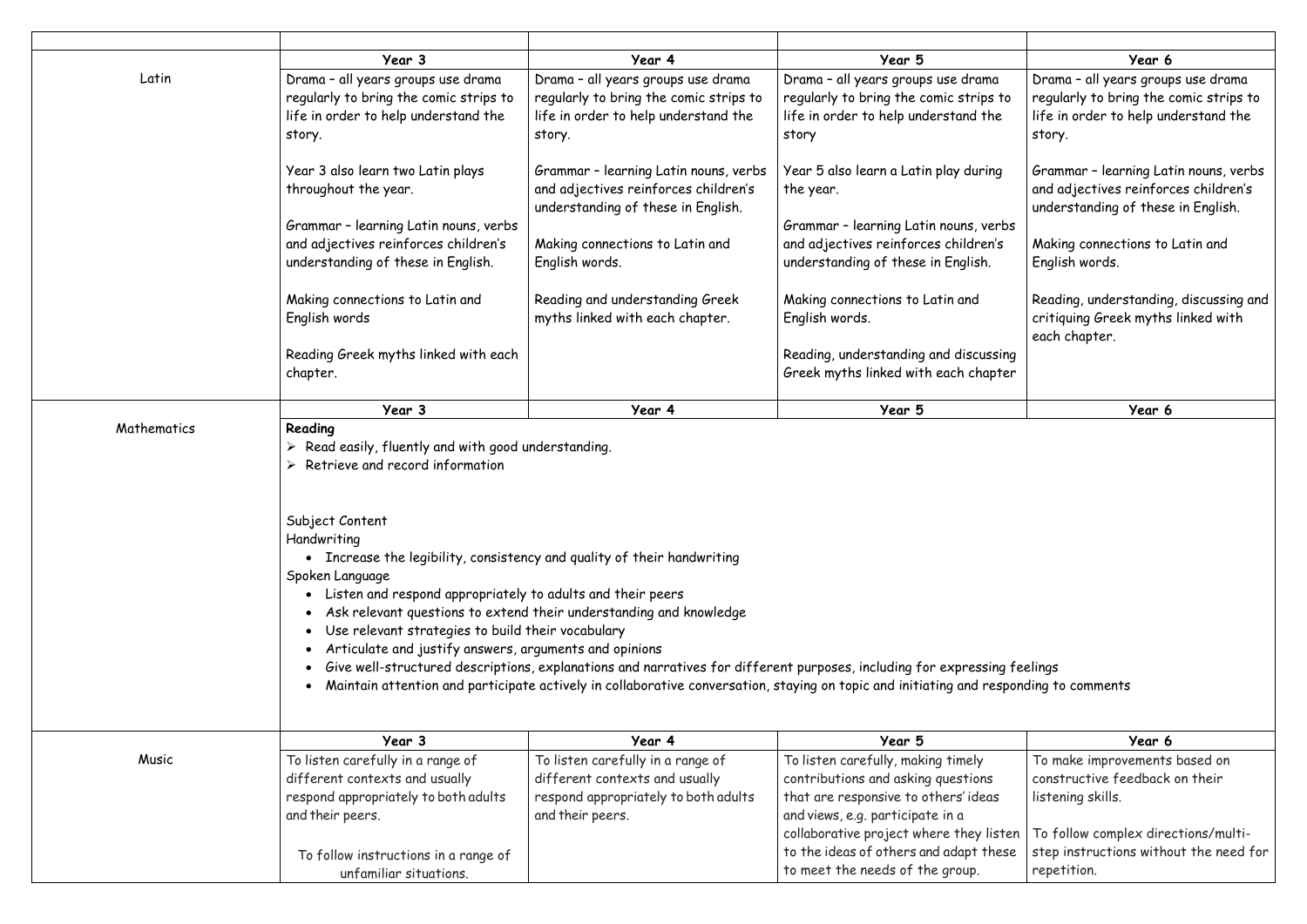|             | Year 3                                                                                                                                                                                                                                                                                                                                                                                                          | Year 4                                                                                                                                                                                                                                                                                                                                  | Year 5                                                                                                                                                                                          | Year 6                                                                                                                         |
|-------------|-----------------------------------------------------------------------------------------------------------------------------------------------------------------------------------------------------------------------------------------------------------------------------------------------------------------------------------------------------------------------------------------------------------------|-----------------------------------------------------------------------------------------------------------------------------------------------------------------------------------------------------------------------------------------------------------------------------------------------------------------------------------------|-------------------------------------------------------------------------------------------------------------------------------------------------------------------------------------------------|--------------------------------------------------------------------------------------------------------------------------------|
| Latin       | Drama - all years groups use drama<br>regularly to bring the comic strips to<br>life in order to help understand the<br>story.                                                                                                                                                                                                                                                                                  | Drama - all years groups use drama<br>regularly to bring the comic strips to<br>life in order to help understand the<br>story.                                                                                                                                                                                                          | Drama - all years groups use drama<br>regularly to bring the comic strips to<br>life in order to help understand the<br>story                                                                   | Drama - all years groups use drama<br>regularly to bring the comic strips to<br>life in order to help understand the<br>story. |
|             | Year 3 also learn two Latin plays<br>throughout the year.                                                                                                                                                                                                                                                                                                                                                       | Grammar - learning Latin nouns, verbs<br>and adjectives reinforces children's<br>understanding of these in English.                                                                                                                                                                                                                     | Year 5 also learn a Latin play during<br>the year.                                                                                                                                              | Grammar - learning Latin nouns, verbs<br>and adjectives reinforces children's<br>understanding of these in English.            |
|             | Grammar - learning Latin nouns, verbs<br>and adjectives reinforces children's<br>understanding of these in English.                                                                                                                                                                                                                                                                                             | Making connections to Latin and<br>English words.                                                                                                                                                                                                                                                                                       | Grammar - learning Latin nouns, verbs<br>and adjectives reinforces children's<br>understanding of these in English.                                                                             | Making connections to Latin and<br>English words.                                                                              |
|             | Making connections to Latin and<br>English words                                                                                                                                                                                                                                                                                                                                                                | Reading and understanding Greek<br>myths linked with each chapter.                                                                                                                                                                                                                                                                      | Making connections to Latin and<br>English words.                                                                                                                                               | Reading, understanding, discussing and<br>critiquing Greek myths linked with<br>each chapter.                                  |
|             | Reading Greek myths linked with each<br>chapter.                                                                                                                                                                                                                                                                                                                                                                |                                                                                                                                                                                                                                                                                                                                         | Reading, understanding and discussing<br>Greek myths linked with each chapter                                                                                                                   |                                                                                                                                |
|             | Year 3                                                                                                                                                                                                                                                                                                                                                                                                          | Year 4                                                                                                                                                                                                                                                                                                                                  | Year 5                                                                                                                                                                                          | Year 6                                                                                                                         |
| Mathematics | Reading<br>Read easily, fluently and with good understanding.<br>Retrieve and record information<br>Subject Content<br>Handwriting<br>• Increase the legibility, consistency and quality of their handwriting<br>Spoken Language<br>• Listen and respond appropriately to adults and their peers<br>Use relevant strategies to build their vocabulary<br>Articulate and justify answers, arguments and opinions | Ask relevant questions to extend their understanding and knowledge<br>Give well-structured descriptions, explanations and narratives for different purposes, including for expressing feelings<br>Maintain attention and participate actively in collaborative conversation, staying on topic and initiating and responding to comments |                                                                                                                                                                                                 |                                                                                                                                |
|             | Year 3                                                                                                                                                                                                                                                                                                                                                                                                          | Year 4                                                                                                                                                                                                                                                                                                                                  | Year 5                                                                                                                                                                                          | Year 6                                                                                                                         |
| Music       | To listen carefully in a range of<br>different contexts and usually<br>respond appropriately to both adults<br>and their peers.                                                                                                                                                                                                                                                                                 | To listen carefully in a range of<br>different contexts and usually<br>respond appropriately to both adults<br>and their peers.                                                                                                                                                                                                         | To listen carefully, making timely<br>contributions and asking questions<br>that are responsive to others' ideas<br>and views, e.g. participate in a<br>collaborative project where they listen | To make improvements based on<br>constructive feedback on their<br>listening skills.<br>To follow complex directions/multi-    |
|             | To follow instructions in a range of<br>unfamiliar situations.                                                                                                                                                                                                                                                                                                                                                  |                                                                                                                                                                                                                                                                                                                                         | to the ideas of others and adapt these<br>to meet the needs of the group.                                                                                                                       | step instructions without the need for<br>repetition.                                                                          |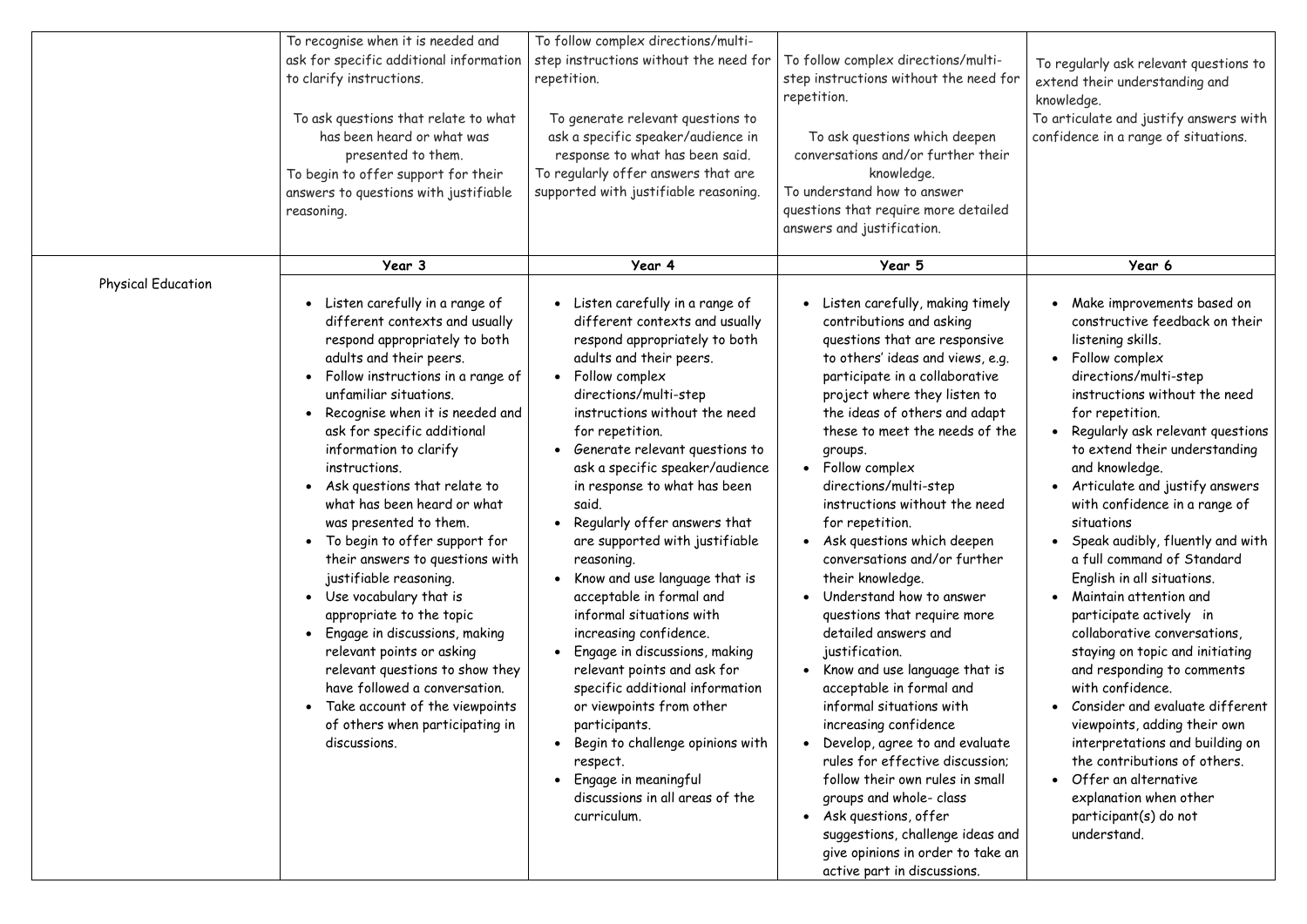|                           | To recognise when it is needed and<br>ask for specific additional information<br>to clarify instructions.<br>To ask questions that relate to what<br>has been heard or what was<br>presented to them.<br>To begin to offer support for their<br>answers to questions with justifiable<br>reasoning.                                                                                                                                                                                                                                                                                                                                                                                                                                                                                            | To follow complex directions/multi-<br>step instructions without the need for<br>repetition.<br>To generate relevant questions to<br>ask a specific speaker/audience in<br>response to what has been said.<br>To regularly offer answers that are<br>supported with justifiable reasoning.                                                                                                                                                                                                                                                                                                                                                                                                                                                                                                                                       | To follow complex directions/multi-<br>step instructions without the need for<br>repetition.<br>To ask questions which deepen<br>conversations and/or further their<br>knowledge.<br>To understand how to answer<br>questions that require more detailed<br>answers and justification.                                                                                                                                                                                                                                                                                                                                                                                                                                                                                                                                                                                                                                                                                        | To regularly ask relevant questions to<br>extend their understanding and<br>knowledge.<br>To articulate and justify answers with<br>confidence in a range of situations.                                                                                                                                                                                                                                                                                                                                                                                                                                                                                                                                                                                                                                                                                                     |
|---------------------------|------------------------------------------------------------------------------------------------------------------------------------------------------------------------------------------------------------------------------------------------------------------------------------------------------------------------------------------------------------------------------------------------------------------------------------------------------------------------------------------------------------------------------------------------------------------------------------------------------------------------------------------------------------------------------------------------------------------------------------------------------------------------------------------------|----------------------------------------------------------------------------------------------------------------------------------------------------------------------------------------------------------------------------------------------------------------------------------------------------------------------------------------------------------------------------------------------------------------------------------------------------------------------------------------------------------------------------------------------------------------------------------------------------------------------------------------------------------------------------------------------------------------------------------------------------------------------------------------------------------------------------------|-------------------------------------------------------------------------------------------------------------------------------------------------------------------------------------------------------------------------------------------------------------------------------------------------------------------------------------------------------------------------------------------------------------------------------------------------------------------------------------------------------------------------------------------------------------------------------------------------------------------------------------------------------------------------------------------------------------------------------------------------------------------------------------------------------------------------------------------------------------------------------------------------------------------------------------------------------------------------------|------------------------------------------------------------------------------------------------------------------------------------------------------------------------------------------------------------------------------------------------------------------------------------------------------------------------------------------------------------------------------------------------------------------------------------------------------------------------------------------------------------------------------------------------------------------------------------------------------------------------------------------------------------------------------------------------------------------------------------------------------------------------------------------------------------------------------------------------------------------------------|
| <b>Physical Education</b> | Year 3<br>• Listen carefully in a range of<br>different contexts and usually<br>respond appropriately to both<br>adults and their peers.<br>Follow instructions in a range of<br>unfamiliar situations.<br>Recognise when it is needed and<br>ask for specific additional<br>information to clarify<br>instructions.<br>• Ask questions that relate to<br>what has been heard or what<br>was presented to them.<br>• To begin to offer support for<br>their answers to questions with<br>justifiable reasoning.<br>Use vocabulary that is<br>appropriate to the topic<br>Engage in discussions, making<br>relevant points or asking<br>relevant questions to show they<br>have followed a conversation.<br>• Take account of the viewpoints<br>of others when participating in<br>discussions. | Year 4<br>Listen carefully in a range of<br>different contexts and usually<br>respond appropriately to both<br>adults and their peers.<br>Follow complex<br>directions/multi-step<br>instructions without the need<br>for repetition.<br>Generate relevant questions to<br>ask a specific speaker/audience<br>in response to what has been<br>said.<br>Regularly offer answers that<br>are supported with justifiable<br>reasoning.<br>Know and use language that is<br>acceptable in formal and<br>informal situations with<br>increasing confidence.<br>Engage in discussions, making<br>relevant points and ask for<br>specific additional information<br>or viewpoints from other<br>participants.<br>Begin to challenge opinions with<br>respect.<br>Engage in meaningful<br>discussions in all areas of the<br>curriculum. | Year 5<br>• Listen carefully, making timely<br>contributions and asking<br>questions that are responsive<br>to others' ideas and views, e.g.<br>participate in a collaborative<br>project where they listen to<br>the ideas of others and adapt<br>these to meet the needs of the<br>groups.<br>• Follow complex<br>directions/multi-step<br>instructions without the need<br>for repetition.<br>• Ask questions which deepen<br>conversations and/or further<br>their knowledge.<br>Understand how to answer<br>questions that require more<br>detailed answers and<br>justification.<br>Know and use language that is<br>acceptable in formal and<br>informal situations with<br>increasing confidence<br>Develop, agree to and evaluate<br>rules for effective discussion;<br>follow their own rules in small<br>groups and whole- class<br>• Ask questions, offer<br>suggestions, challenge ideas and<br>give opinions in order to take an<br>active part in discussions. | Year 6<br>Make improvements based on<br>constructive feedback on their<br>listening skills.<br>Follow complex<br>directions/multi-step<br>instructions without the need<br>for repetition.<br>Regularly ask relevant questions<br>to extend their understanding<br>and knowledge.<br>Articulate and justify answers<br>with confidence in a range of<br>situations<br>Speak audibly, fluently and with<br>a full command of Standard<br>English in all situations.<br>Maintain attention and<br>participate actively in<br>collaborative conversations,<br>staying on topic and initiating<br>and responding to comments<br>with confidence.<br>Consider and evaluate different<br>viewpoints, adding their own<br>interpretations and building on<br>the contributions of others.<br>Offer an alternative<br>explanation when other<br>participant(s) do not<br>understand. |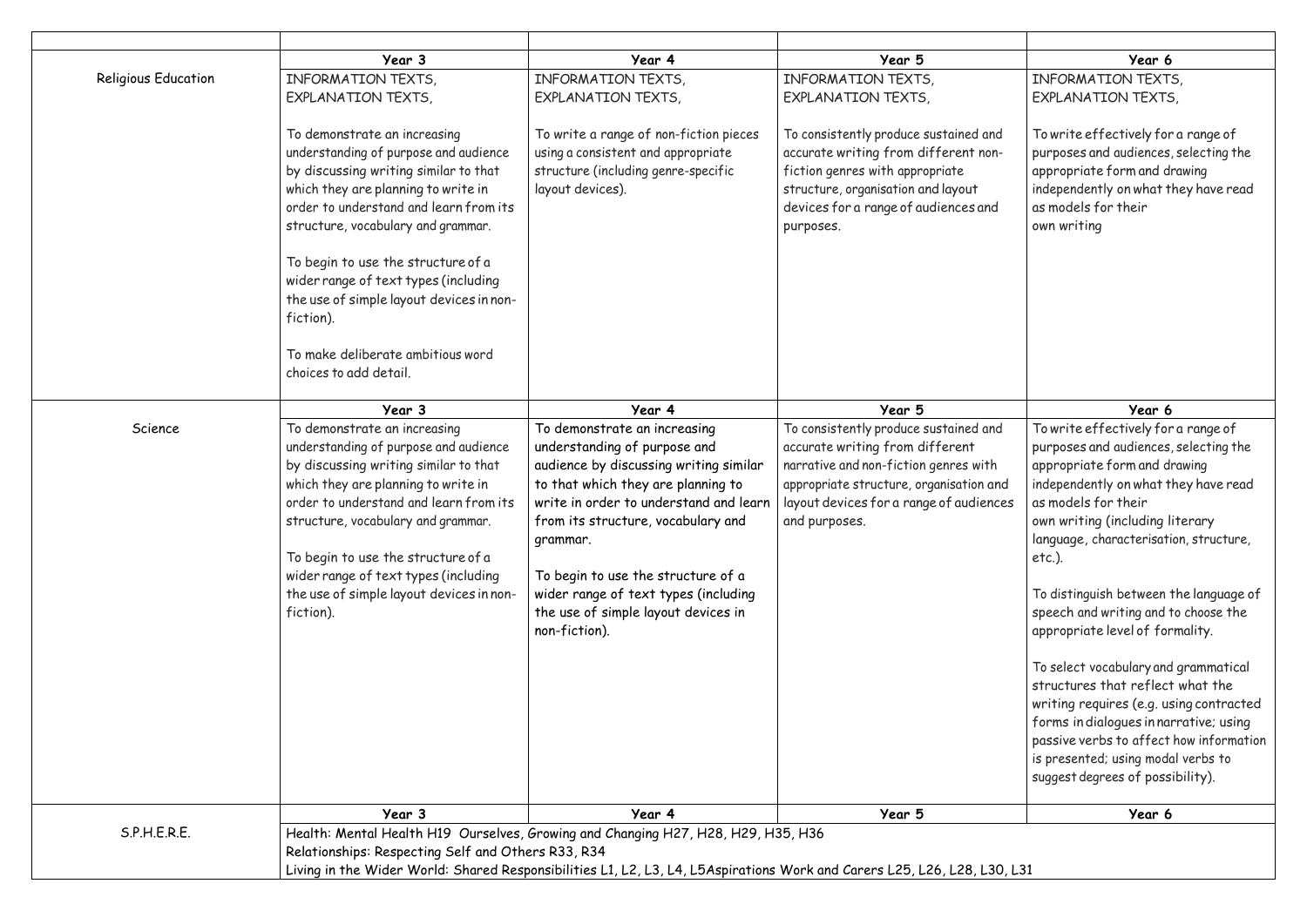|                            | Year 3                                                                                                                                                                                                                                                                                                                                                                                                                                      | Year 4                                                                                                                                                                                                                                                                                                                                                                         | Year 5                                                                                                                                                                                                                   | Year 6                                                                                                                                                                                                                                                                                                                                                                                                                                                                                                                                                                                                                                                                           |
|----------------------------|---------------------------------------------------------------------------------------------------------------------------------------------------------------------------------------------------------------------------------------------------------------------------------------------------------------------------------------------------------------------------------------------------------------------------------------------|--------------------------------------------------------------------------------------------------------------------------------------------------------------------------------------------------------------------------------------------------------------------------------------------------------------------------------------------------------------------------------|--------------------------------------------------------------------------------------------------------------------------------------------------------------------------------------------------------------------------|----------------------------------------------------------------------------------------------------------------------------------------------------------------------------------------------------------------------------------------------------------------------------------------------------------------------------------------------------------------------------------------------------------------------------------------------------------------------------------------------------------------------------------------------------------------------------------------------------------------------------------------------------------------------------------|
| <b>Religious Education</b> | INFORMATION TEXTS,<br><b>EXPLANATION TEXTS,</b>                                                                                                                                                                                                                                                                                                                                                                                             | INFORMATION TEXTS,<br><b>EXPLANATION TEXTS,</b>                                                                                                                                                                                                                                                                                                                                | INFORMATION TEXTS,<br><b>EXPLANATION TEXTS,</b>                                                                                                                                                                          | INFORMATION TEXTS,<br><b>EXPLANATION TEXTS,</b>                                                                                                                                                                                                                                                                                                                                                                                                                                                                                                                                                                                                                                  |
|                            | To demonstrate an increasing<br>understanding of purpose and audience<br>by discussing writing similar to that<br>which they are planning to write in<br>order to understand and learn from its<br>structure, vocabulary and grammar.<br>To begin to use the structure of a<br>wider range of text types (including<br>the use of simple layout devices in non-<br>fiction).<br>To make deliberate ambitious word<br>choices to add detail. | To write a range of non-fiction pieces<br>using a consistent and appropriate<br>structure (including genre-specific<br>layout devices).                                                                                                                                                                                                                                        | To consistently produce sustained and<br>accurate writing from different non-<br>fiction genres with appropriate<br>structure, organisation and layout<br>devices for a range of audiences and<br>purposes.              | To write effectively for a range of<br>purposes and audiences, selecting the<br>appropriate form and drawing<br>independently on what they have read<br>as models for their<br>own writing                                                                                                                                                                                                                                                                                                                                                                                                                                                                                       |
|                            | Year 3                                                                                                                                                                                                                                                                                                                                                                                                                                      | Year 4                                                                                                                                                                                                                                                                                                                                                                         | Year 5                                                                                                                                                                                                                   | Year 6                                                                                                                                                                                                                                                                                                                                                                                                                                                                                                                                                                                                                                                                           |
| Science                    | To demonstrate an increasing<br>understanding of purpose and audience<br>by discussing writing similar to that<br>which they are planning to write in<br>order to understand and learn from its<br>structure, vocabulary and grammar.<br>To begin to use the structure of a<br>wider range of text types (including<br>the use of simple layout devices in non-<br>fiction).                                                                | To demonstrate an increasing<br>understanding of purpose and<br>audience by discussing writing similar<br>to that which they are planning to<br>write in order to understand and learn<br>from its structure, vocabulary and<br>grammar.<br>To begin to use the structure of a<br>wider range of text types (including<br>the use of simple layout devices in<br>non-fiction). | To consistently produce sustained and<br>accurate writing from different<br>narrative and non-fiction genres with<br>appropriate structure, organisation and<br>layout devices for a range of audiences<br>and purposes. | To write effectively for a range of<br>purposes and audiences, selecting the<br>appropriate form and drawing<br>independently on what they have read<br>as models for their<br>own writing (including literary<br>language, characterisation, structure,<br>$etc.$ ).<br>To distinguish between the language of<br>speech and writing and to choose the<br>appropriate level of formality.<br>To select vocabulary and grammatical<br>structures that reflect what the<br>writing requires (e.g. using contracted<br>forms in dialogues in narrative; using<br>passive verbs to affect how information<br>is presented; using modal verbs to<br>suggest degrees of possibility). |
|                            | Year 3                                                                                                                                                                                                                                                                                                                                                                                                                                      | Year 4                                                                                                                                                                                                                                                                                                                                                                         | Year 5                                                                                                                                                                                                                   | Year 6                                                                                                                                                                                                                                                                                                                                                                                                                                                                                                                                                                                                                                                                           |
| S.P.H.E.R.E.               | Relationships: Respecting Self and Others R33, R34                                                                                                                                                                                                                                                                                                                                                                                          | Health: Mental Health H19 Ourselves, Growing and Changing H27, H28, H29, H35, H36<br>Living in the Wider World: Shared Responsibilities L1, L2, L3, L4, L5Aspirations Work and Carers L25, L26, L28, L30, L31                                                                                                                                                                  |                                                                                                                                                                                                                          |                                                                                                                                                                                                                                                                                                                                                                                                                                                                                                                                                                                                                                                                                  |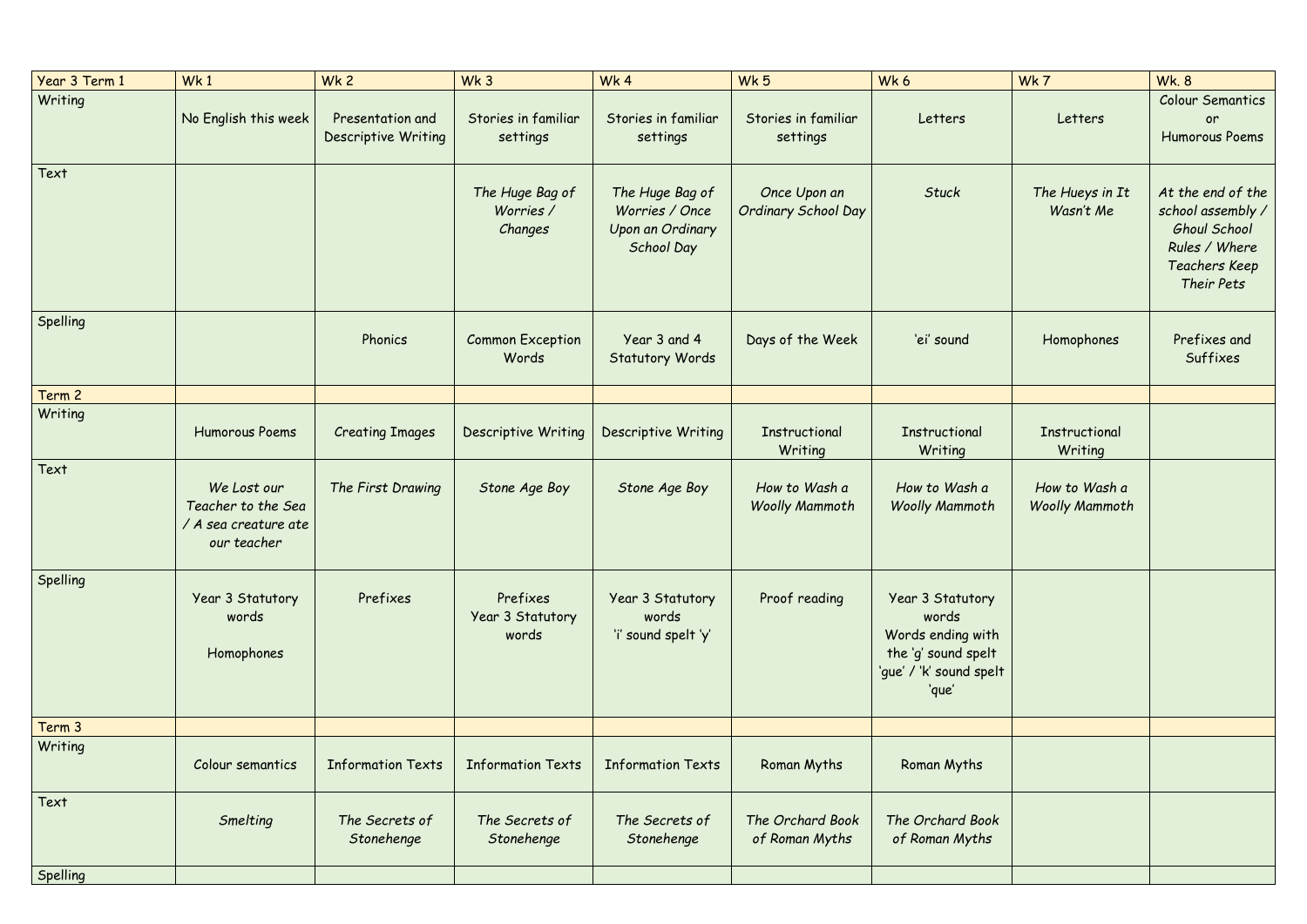| Year 3 Term 1 | Wk1                                                                      | Wk <sub>2</sub>                                | Wk <sub>3</sub>                         | Wk4                                                                        | Wk 5                                   | Wk6                                                                                                       | Wk7                                    | <b>Wk. 8</b>                                                                                                         |
|---------------|--------------------------------------------------------------------------|------------------------------------------------|-----------------------------------------|----------------------------------------------------------------------------|----------------------------------------|-----------------------------------------------------------------------------------------------------------|----------------------------------------|----------------------------------------------------------------------------------------------------------------------|
| Writing       | No English this week                                                     | Presentation and<br><b>Descriptive Writing</b> | Stories in familiar<br>settings         | Stories in familiar<br>settings                                            | Stories in familiar<br>settings        | Letters                                                                                                   | Letters                                | Colour Semantics<br>or<br>Humorous Poems                                                                             |
| Text          |                                                                          |                                                | The Huge Bag of<br>Worries /<br>Changes | The Huge Bag of<br>Worries / Once<br>Upon an Ordinary<br><b>School Day</b> | Once Upon an<br>Ordinary School Day    | <b>Stuck</b>                                                                                              | The Hueys in It<br>Wasn't Me           | At the end of the<br>school assembly /<br><b>Ghoul School</b><br>Rules / Where<br><b>Teachers Keep</b><br>Their Pets |
| Spelling      |                                                                          | Phonics                                        | <b>Common Exception</b><br>Words        | Year 3 and 4<br><b>Statutory Words</b>                                     | Days of the Week                       | 'ei' sound                                                                                                | Homophones                             | Prefixes and<br>Suffixes                                                                                             |
| Term 2        |                                                                          |                                                |                                         |                                                                            |                                        |                                                                                                           |                                        |                                                                                                                      |
| Writing       | <b>Humorous Poems</b>                                                    | <b>Creating Images</b>                         | <b>Descriptive Writing</b>              | <b>Descriptive Writing</b>                                                 | <b>Instructional</b><br>Writing        | <b>Instructional</b><br>Writing                                                                           | Instructional<br>Writing               |                                                                                                                      |
| Text          | We Lost our<br>Teacher to the Sea<br>/ A sea creature ate<br>our teacher | The First Drawing                              | Stone Age Boy                           | Stone Age Boy                                                              | How to Wash a<br><b>Woolly Mammoth</b> | How to Wash a<br><b>Woolly Mammoth</b>                                                                    | How to Wash a<br><b>Woolly Mammoth</b> |                                                                                                                      |
| Spelling      | Year 3 Statutory<br>words<br>Homophones                                  | Prefixes                                       | Prefixes<br>Year 3 Statutory<br>words   | Year 3 Statutory<br>words<br>'i' sound spelt 'y'                           | Proof reading                          | Year 3 Statutory<br>words<br>Words ending with<br>the 'g' sound spelt<br>'gue' / 'k' sound spelt<br>'que' |                                        |                                                                                                                      |
| Term 3        |                                                                          |                                                |                                         |                                                                            |                                        |                                                                                                           |                                        |                                                                                                                      |
| Writing       | Colour semantics                                                         | <b>Information Texts</b>                       | <b>Information Texts</b>                | <b>Information Texts</b>                                                   | Roman Myths                            | Roman Myths                                                                                               |                                        |                                                                                                                      |
| Text          | Smelting                                                                 | The Secrets of<br>Stonehenge                   | The Secrets of<br>Stonehenge            | The Secrets of<br>Stonehenge                                               | The Orchard Book<br>of Roman Myths     | The Orchard Book<br>of Roman Myths                                                                        |                                        |                                                                                                                      |
| Spelling      |                                                                          |                                                |                                         |                                                                            |                                        |                                                                                                           |                                        |                                                                                                                      |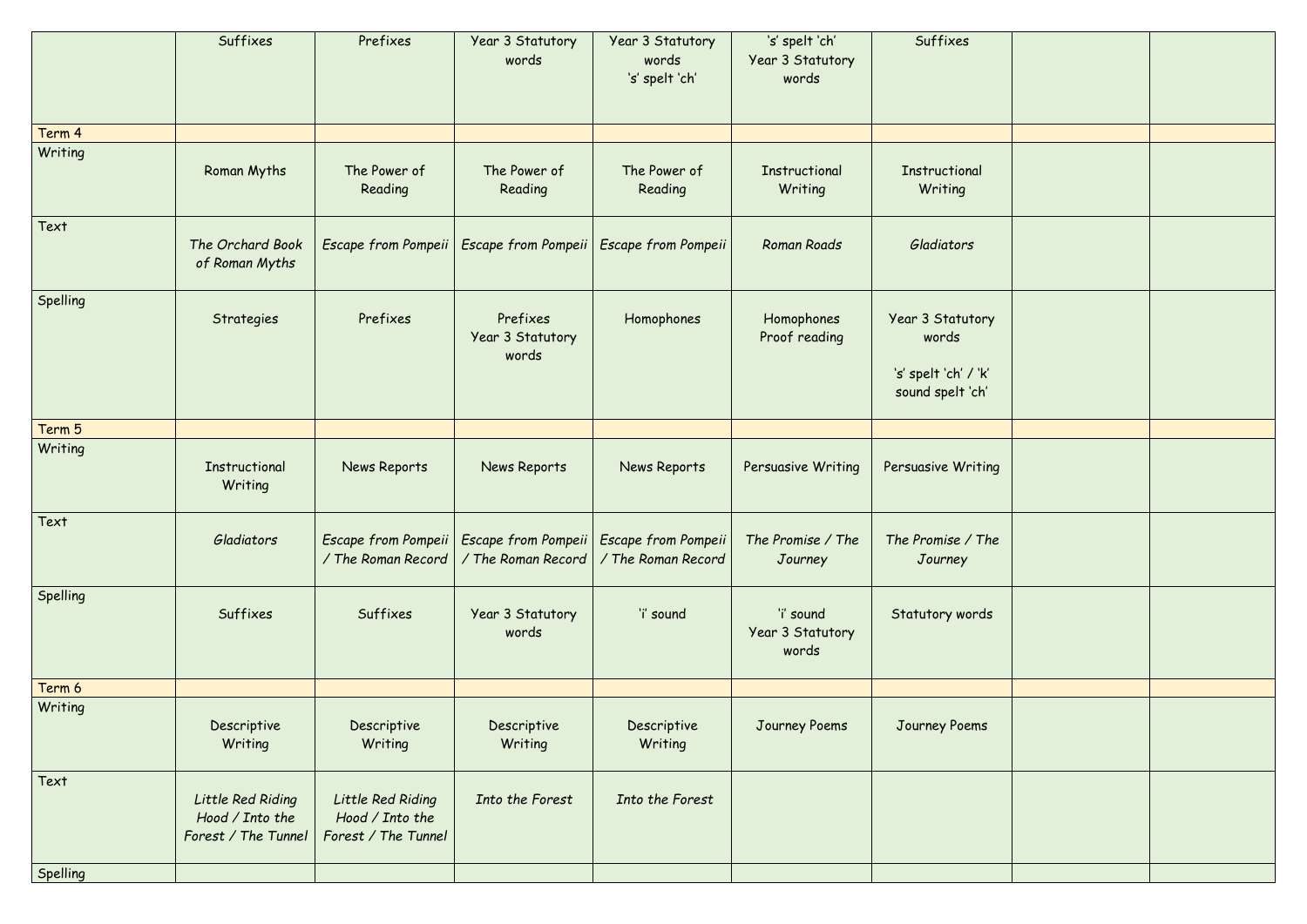|          | Suffixes                                                    | Prefixes                                                    | Year 3 Statutory<br>words                                                                      | Year 3 Statutory<br>words<br>'s' spelt 'ch' | 's' spelt 'ch'<br>Year 3 Statutory<br>words | Suffixes                                                              |  |
|----------|-------------------------------------------------------------|-------------------------------------------------------------|------------------------------------------------------------------------------------------------|---------------------------------------------|---------------------------------------------|-----------------------------------------------------------------------|--|
| Term 4   |                                                             |                                                             |                                                                                                |                                             |                                             |                                                                       |  |
| Writing  | Roman Myths                                                 | The Power of<br>Reading                                     | The Power of<br>Reading                                                                        | The Power of<br>Reading                     | <b>Instructional</b><br>Writing             | Instructional<br>Writing                                              |  |
| Text     | The Orchard Book<br>of Roman Myths                          | Escape from Pompeii                                         | <b>Escape from Pompeii</b>                                                                     | Escape from Pompeii                         | <b>Roman Roads</b>                          | Gladiators                                                            |  |
| Spelling | Strategies                                                  | Prefixes                                                    | Prefixes<br>Year 3 Statutory<br>words                                                          | Homophones                                  | Homophones<br>Proof reading                 | Year 3 Statutory<br>words<br>'s' spelt 'ch' / 'k'<br>sound spelt 'ch' |  |
| Term 5   |                                                             |                                                             |                                                                                                |                                             |                                             |                                                                       |  |
| Writing  | Instructional<br>Writing                                    | News Reports                                                | News Reports                                                                                   | News Reports                                | Persuasive Writing                          | Persuasive Writing                                                    |  |
| Text     | Gladiators                                                  | / The Roman Record                                          | Escape from Pompeii   Escape from Pompeii   Escape from Pompeii<br>$\sqrt{r}$ The Roman Record | / The Roman Record                          | The Promise / The<br>Journey                | The Promise / The<br>Journey                                          |  |
| Spelling | Suffixes                                                    | Suffixes                                                    | Year 3 Statutory<br>words                                                                      | 'i' sound                                   | 'i' sound<br>Year 3 Statutory<br>words      | Statutory words                                                       |  |
| Term 6   |                                                             |                                                             |                                                                                                |                                             |                                             |                                                                       |  |
| Writing  | Descriptive<br>Writing                                      | Descriptive<br>Writing                                      | Descriptive<br>Writing                                                                         | Descriptive<br>Writing                      | Journey Poems                               | Journey Poems                                                         |  |
| Text     | Little Red Riding<br>Hood / Into the<br>Forest / The Tunnel | Little Red Riding<br>Hood / Into the<br>Forest / The Tunnel | Into the Forest                                                                                | Into the Forest                             |                                             |                                                                       |  |
| Spelling |                                                             |                                                             |                                                                                                |                                             |                                             |                                                                       |  |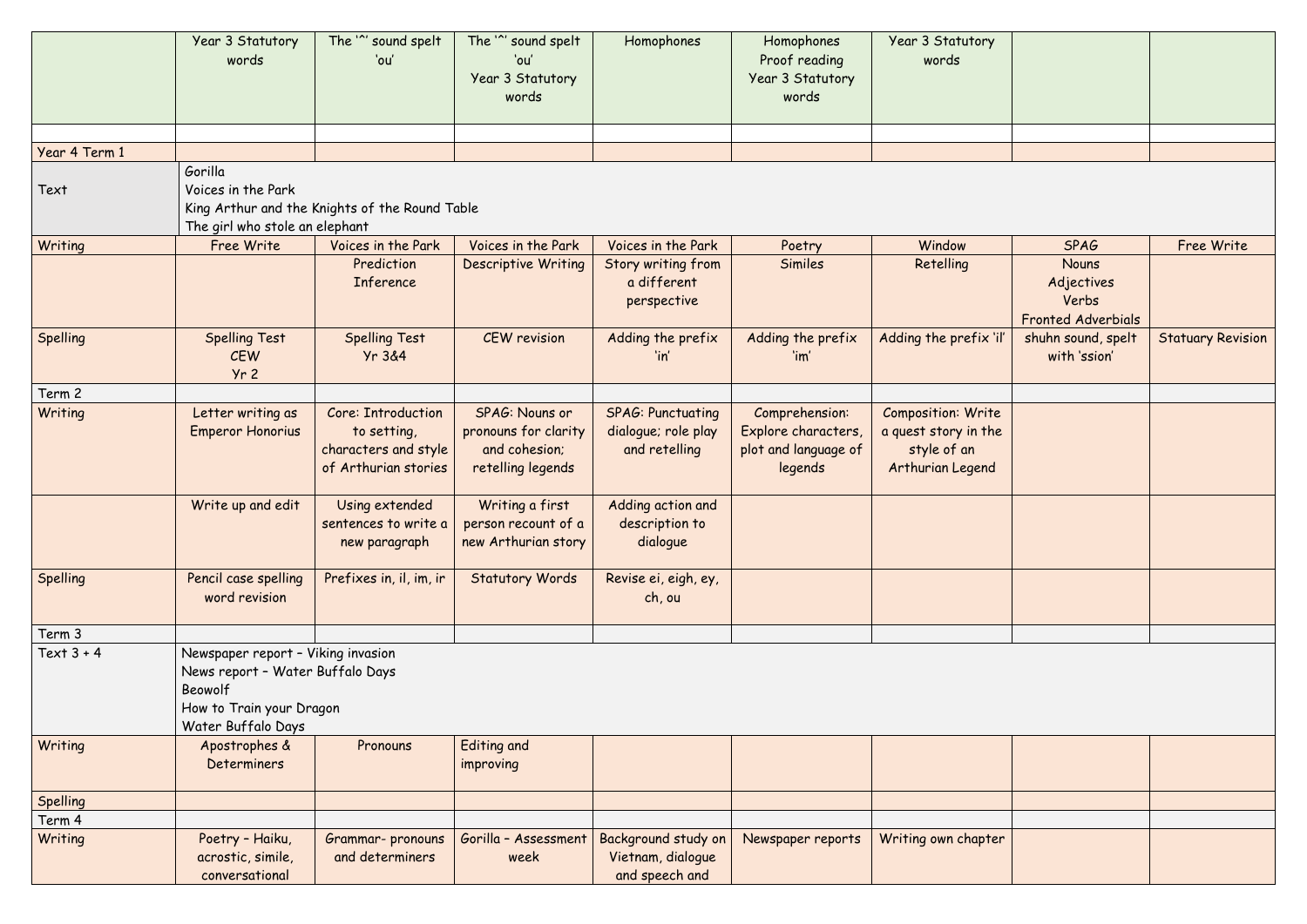|                 | Year 3 Statutory<br>words                                                                                                           | The '" sound spelt<br>'ou'                                                        | The '" sound spelt<br>'ou'<br>Year 3 Statutory<br>words                      | Homophones                                                       | Homophones<br>Proof reading<br>Year 3 Statutory<br>words                 | Year 3 Statutory<br>words                                                     |                                                           |                          |
|-----------------|-------------------------------------------------------------------------------------------------------------------------------------|-----------------------------------------------------------------------------------|------------------------------------------------------------------------------|------------------------------------------------------------------|--------------------------------------------------------------------------|-------------------------------------------------------------------------------|-----------------------------------------------------------|--------------------------|
|                 |                                                                                                                                     |                                                                                   |                                                                              |                                                                  |                                                                          |                                                                               |                                                           |                          |
| Year 4 Term 1   | Gorilla                                                                                                                             |                                                                                   |                                                                              |                                                                  |                                                                          |                                                                               |                                                           |                          |
| Text            | Voices in the Park<br>The girl who stole an elephant                                                                                | King Arthur and the Knights of the Round Table                                    |                                                                              |                                                                  |                                                                          |                                                                               |                                                           |                          |
| Writing         | Free Write                                                                                                                          | Voices in the Park                                                                | Voices in the Park                                                           | Voices in the Park                                               | Poetry                                                                   | Window                                                                        | <b>SPAG</b>                                               | Free Write               |
|                 |                                                                                                                                     | Prediction<br>Inference                                                           | <b>Descriptive Writing</b>                                                   | Story writing from<br>a different<br>perspective                 | Similes                                                                  | Retelling                                                                     | Nouns<br>Adjectives<br>Verbs<br><b>Fronted Adverbials</b> |                          |
| <b>Spelling</b> | <b>Spelling Test</b><br><b>CEW</b><br>Yr <sub>2</sub>                                                                               | <b>Spelling Test</b><br>Yr 3&4                                                    | <b>CEW</b> revision                                                          | Adding the prefix<br>'in'                                        | Adding the prefix<br>'im'                                                | Adding the prefix 'il'                                                        | shuhn sound, spelt<br>with 'ssion'                        | <b>Statuary Revision</b> |
| Term 2          |                                                                                                                                     |                                                                                   |                                                                              |                                                                  |                                                                          |                                                                               |                                                           |                          |
| Writing         | Letter writing as<br>Emperor Honorius                                                                                               | Core: Introduction<br>to setting,<br>characters and style<br>of Arthurian stories | SPAG: Nouns or<br>pronouns for clarity<br>and cohesion;<br>retelling legends | <b>SPAG: Punctuating</b><br>dialogue; role play<br>and retelling | Comprehension:<br>Explore characters,<br>plot and language of<br>legends | Composition: Write<br>a quest story in the<br>style of an<br>Arthurian Legend |                                                           |                          |
|                 | Write up and edit                                                                                                                   | Using extended<br>sentences to write a<br>new paragraph                           | Writing a first<br>person recount of a<br>new Arthurian story                | Adding action and<br>description to<br>dialogue                  |                                                                          |                                                                               |                                                           |                          |
| <b>Spelling</b> | Pencil case spelling<br>word revision                                                                                               | Prefixes in, il, im, ir                                                           | <b>Statutory Words</b>                                                       | Revise ei, eigh, ey,<br>ch, ou                                   |                                                                          |                                                                               |                                                           |                          |
| Term 3          |                                                                                                                                     |                                                                                   |                                                                              |                                                                  |                                                                          |                                                                               |                                                           |                          |
| Text $3 + 4$    | Newspaper report - Viking invasion<br>News report - Water Buffalo Days<br>Beowolf<br>How to Train your Dragon<br>Water Buffalo Days |                                                                                   |                                                                              |                                                                  |                                                                          |                                                                               |                                                           |                          |
| Writing         | Apostrophes &<br>Determiners                                                                                                        | Pronouns                                                                          | <b>Editing and</b><br>improving                                              |                                                                  |                                                                          |                                                                               |                                                           |                          |
| Spelling        |                                                                                                                                     |                                                                                   |                                                                              |                                                                  |                                                                          |                                                                               |                                                           |                          |
| Term 4          |                                                                                                                                     |                                                                                   |                                                                              |                                                                  |                                                                          |                                                                               |                                                           |                          |
| Writing         | Poetry - Haiku,<br>acrostic, simile,<br>conversational                                                                              | Grammar- pronouns<br>and determiners                                              | Gorilla - Assessment<br>week                                                 | Background study on<br>Vietnam, dialogue<br>and speech and       | Newspaper reports                                                        | Writing own chapter                                                           |                                                           |                          |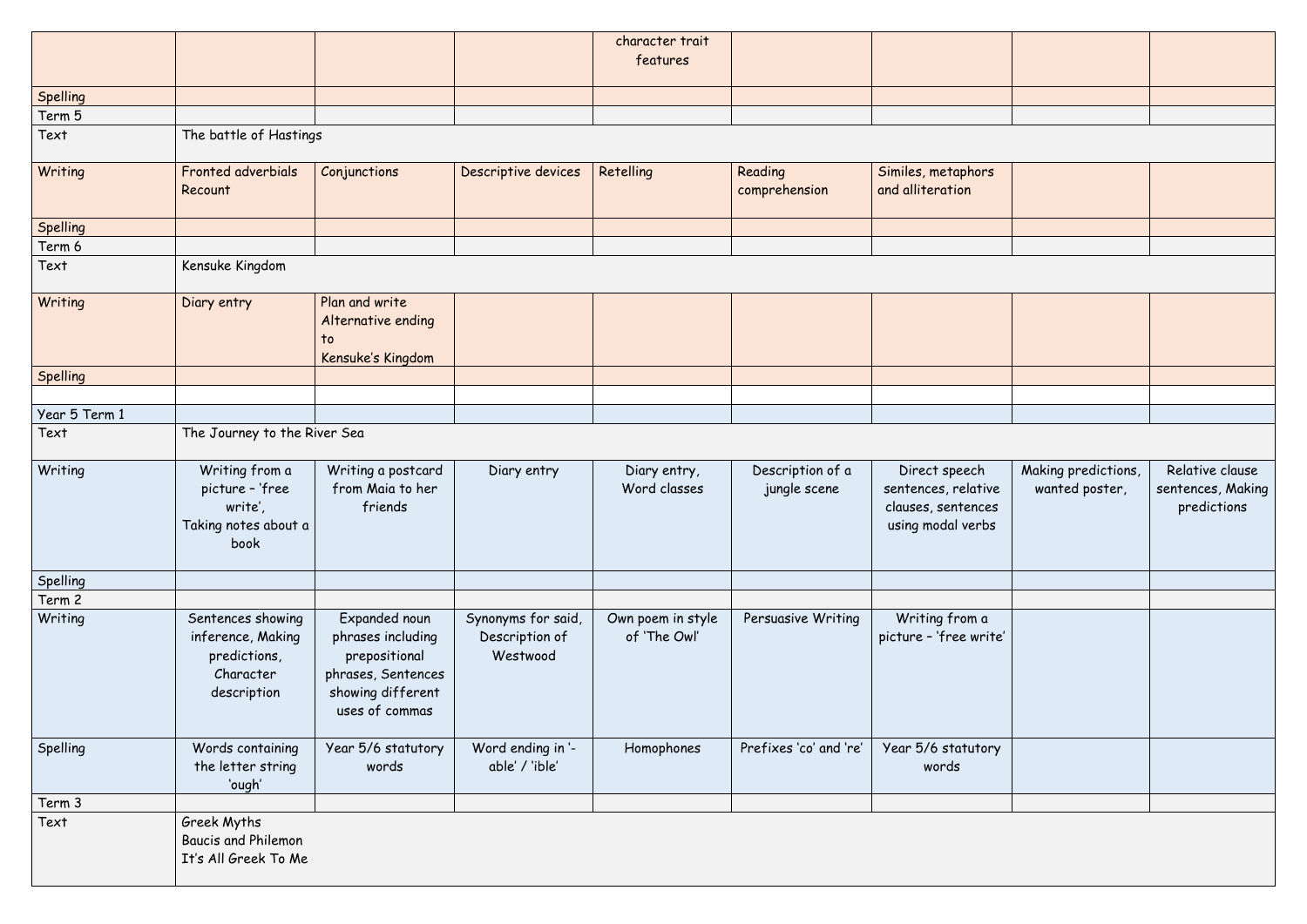|               |                                                                                    |                                                                                                                  |                                                  | character trait                   |                                  |                                                                                 |                                       |                                                     |
|---------------|------------------------------------------------------------------------------------|------------------------------------------------------------------------------------------------------------------|--------------------------------------------------|-----------------------------------|----------------------------------|---------------------------------------------------------------------------------|---------------------------------------|-----------------------------------------------------|
|               |                                                                                    |                                                                                                                  |                                                  | features                          |                                  |                                                                                 |                                       |                                                     |
|               |                                                                                    |                                                                                                                  |                                                  |                                   |                                  |                                                                                 |                                       |                                                     |
| Spelling      |                                                                                    |                                                                                                                  |                                                  |                                   |                                  |                                                                                 |                                       |                                                     |
| Term 5        |                                                                                    |                                                                                                                  |                                                  |                                   |                                  |                                                                                 |                                       |                                                     |
| Text          | The battle of Hastings                                                             |                                                                                                                  |                                                  |                                   |                                  |                                                                                 |                                       |                                                     |
| Writing       | Fronted adverbials<br>Recount                                                      | Conjunctions                                                                                                     | Descriptive devices                              | Retelling                         | Reading<br>comprehension         | Similes, metaphors<br>and alliteration                                          |                                       |                                                     |
| Spelling      |                                                                                    |                                                                                                                  |                                                  |                                   |                                  |                                                                                 |                                       |                                                     |
| Term 6        |                                                                                    |                                                                                                                  |                                                  |                                   |                                  |                                                                                 |                                       |                                                     |
| Text          | Kensuke Kingdom                                                                    |                                                                                                                  |                                                  |                                   |                                  |                                                                                 |                                       |                                                     |
| Writing       | Diary entry                                                                        | Plan and write<br>Alternative ending<br>$\mathsf{to}$<br>Kensuke's Kingdom                                       |                                                  |                                   |                                  |                                                                                 |                                       |                                                     |
| Spelling      |                                                                                    |                                                                                                                  |                                                  |                                   |                                  |                                                                                 |                                       |                                                     |
|               |                                                                                    |                                                                                                                  |                                                  |                                   |                                  |                                                                                 |                                       |                                                     |
| Year 5 Term 1 |                                                                                    |                                                                                                                  |                                                  |                                   |                                  |                                                                                 |                                       |                                                     |
| Text          | The Journey to the River Sea                                                       |                                                                                                                  |                                                  |                                   |                                  |                                                                                 |                                       |                                                     |
| Writing       | Writing from a<br>picture - 'free<br>write',<br>Taking notes about a<br>book       | Writing a postcard<br>from Maia to her<br>friends                                                                | Diary entry                                      | Diary entry,<br>Word classes      | Description of a<br>jungle scene | Direct speech<br>sentences, relative<br>clauses, sentences<br>using modal verbs | Making predictions,<br>wanted poster, | Relative clause<br>sentences, Making<br>predictions |
| Spelling      |                                                                                    |                                                                                                                  |                                                  |                                   |                                  |                                                                                 |                                       |                                                     |
| Term 2        |                                                                                    |                                                                                                                  |                                                  |                                   |                                  |                                                                                 |                                       |                                                     |
| Writing       | Sentences showing<br>inference, Making<br>predictions,<br>Character<br>description | Expanded noun<br>phrases including<br>prepositional<br>phrases, Sentences<br>showing different<br>uses of commas | Synonyms for said,<br>Description of<br>Westwood | Own poem in style<br>of 'The Owl' | Persuasive Writing               | Writing from a<br>picture - 'free write'                                        |                                       |                                                     |
| Spelling      | Words containing<br>the letter string<br>'ough'                                    | Year 5/6 statutory<br>words                                                                                      | Word ending in '-<br>able' / 'ible'              | Homophones                        | Prefixes 'co' and 're'           | Year 5/6 statutory<br>words                                                     |                                       |                                                     |
| Term 3        |                                                                                    |                                                                                                                  |                                                  |                                   |                                  |                                                                                 |                                       |                                                     |
| Text          | Greek Myths<br><b>Baucis and Philemon</b><br>It's All Greek To Me                  |                                                                                                                  |                                                  |                                   |                                  |                                                                                 |                                       |                                                     |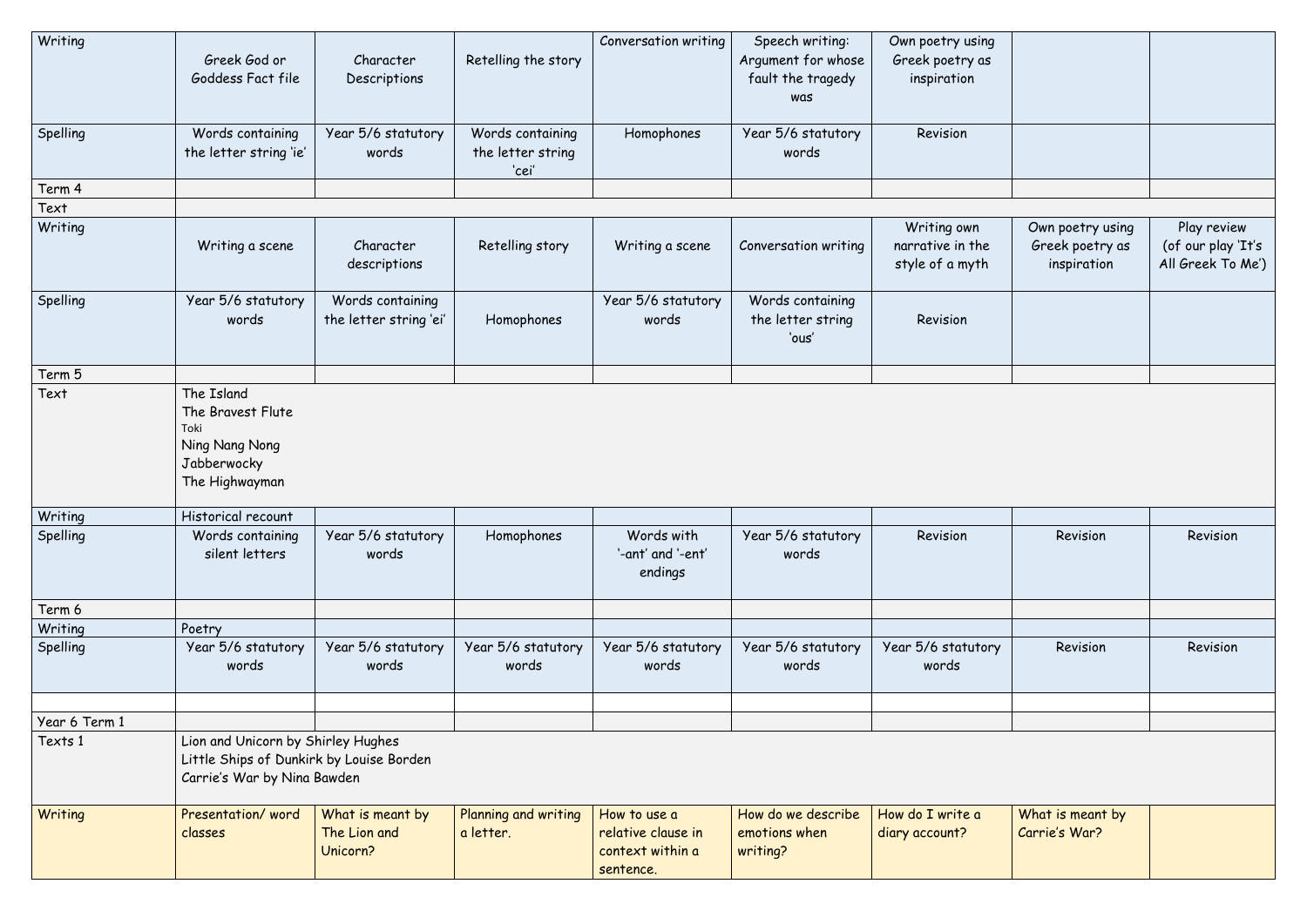| Writing       | Greek God or<br>Goddess Fact file                                                                             | Character<br>Descriptions                    | Retelling the story                            | <b>Conversation writing</b>                                         | Speech writing:<br>Argument for whose<br>fault the tragedy<br>was | Own poetry using<br>Greek poetry as<br>inspiration |                                                    |                                                        |
|---------------|---------------------------------------------------------------------------------------------------------------|----------------------------------------------|------------------------------------------------|---------------------------------------------------------------------|-------------------------------------------------------------------|----------------------------------------------------|----------------------------------------------------|--------------------------------------------------------|
| Spelling      | Words containing<br>the letter string 'ie'                                                                    | Year 5/6 statutory<br>words                  | Words containing<br>the letter string<br>'cei' | Homophones                                                          | Year 5/6 statutory<br>words                                       | Revision                                           |                                                    |                                                        |
| Term 4        |                                                                                                               |                                              |                                                |                                                                     |                                                                   |                                                    |                                                    |                                                        |
| Text          |                                                                                                               |                                              |                                                |                                                                     |                                                                   |                                                    |                                                    |                                                        |
| Writing       | Writing a scene                                                                                               | Character<br>descriptions                    | Retelling story                                | Writing a scene                                                     | Conversation writing                                              | Writing own<br>narrative in the<br>style of a myth | Own poetry using<br>Greek poetry as<br>inspiration | Play review<br>(of our play 'It's<br>All Greek To Me') |
| Spelling      | Year 5/6 statutory<br>words                                                                                   | Words containing<br>the letter string 'ei'   | Homophones                                     | Year 5/6 statutory<br>words                                         | Words containing<br>the letter string<br>'ous'                    | Revision                                           |                                                    |                                                        |
| Term 5        |                                                                                                               |                                              |                                                |                                                                     |                                                                   |                                                    |                                                    |                                                        |
| Text          | The Island<br>The Bravest Flute<br>Toki<br>Ning Nang Nong<br>Jabberwocky<br>The Highwayman                    |                                              |                                                |                                                                     |                                                                   |                                                    |                                                    |                                                        |
| Writing       | Historical recount                                                                                            |                                              |                                                |                                                                     |                                                                   |                                                    |                                                    |                                                        |
| Spelling      | Words containing<br>silent letters                                                                            | Year 5/6 statutory<br>words                  | Homophones                                     | Words with<br>'-ant' and '-ent'<br>endings                          | Year 5/6 statutory<br>words                                       | Revision                                           | Revision                                           | Revision                                               |
| Term 6        |                                                                                                               |                                              |                                                |                                                                     |                                                                   |                                                    |                                                    |                                                        |
| Writing       | Poetry                                                                                                        |                                              |                                                |                                                                     |                                                                   |                                                    |                                                    |                                                        |
| Spelling      | Year 5/6 statutory<br>words                                                                                   | Year 5/6 statutory<br>words                  | Year 5/6 statutory<br>words                    | Year 5/6 statutory<br>words                                         | Year 5/6 statutory<br>words                                       | Year 5/6 statutory<br>words                        | Revision                                           | Revision                                               |
| Year 6 Term 1 |                                                                                                               |                                              |                                                |                                                                     |                                                                   |                                                    |                                                    |                                                        |
| Texts 1       | Lion and Unicorn by Shirley Hughes<br>Little Ships of Dunkirk by Louise Borden<br>Carrie's War by Nina Bawden |                                              |                                                |                                                                     |                                                                   |                                                    |                                                    |                                                        |
| Writing       | Presentation/word<br>classes                                                                                  | What is meant by<br>The Lion and<br>Unicorn? | Planning and writing<br>a letter.              | How to use a<br>relative clause in<br>context within a<br>sentence. | How do we describe<br>emotions when<br>writing?                   | How do I write a<br>diary account?                 | What is meant by<br>Carrie's War?                  |                                                        |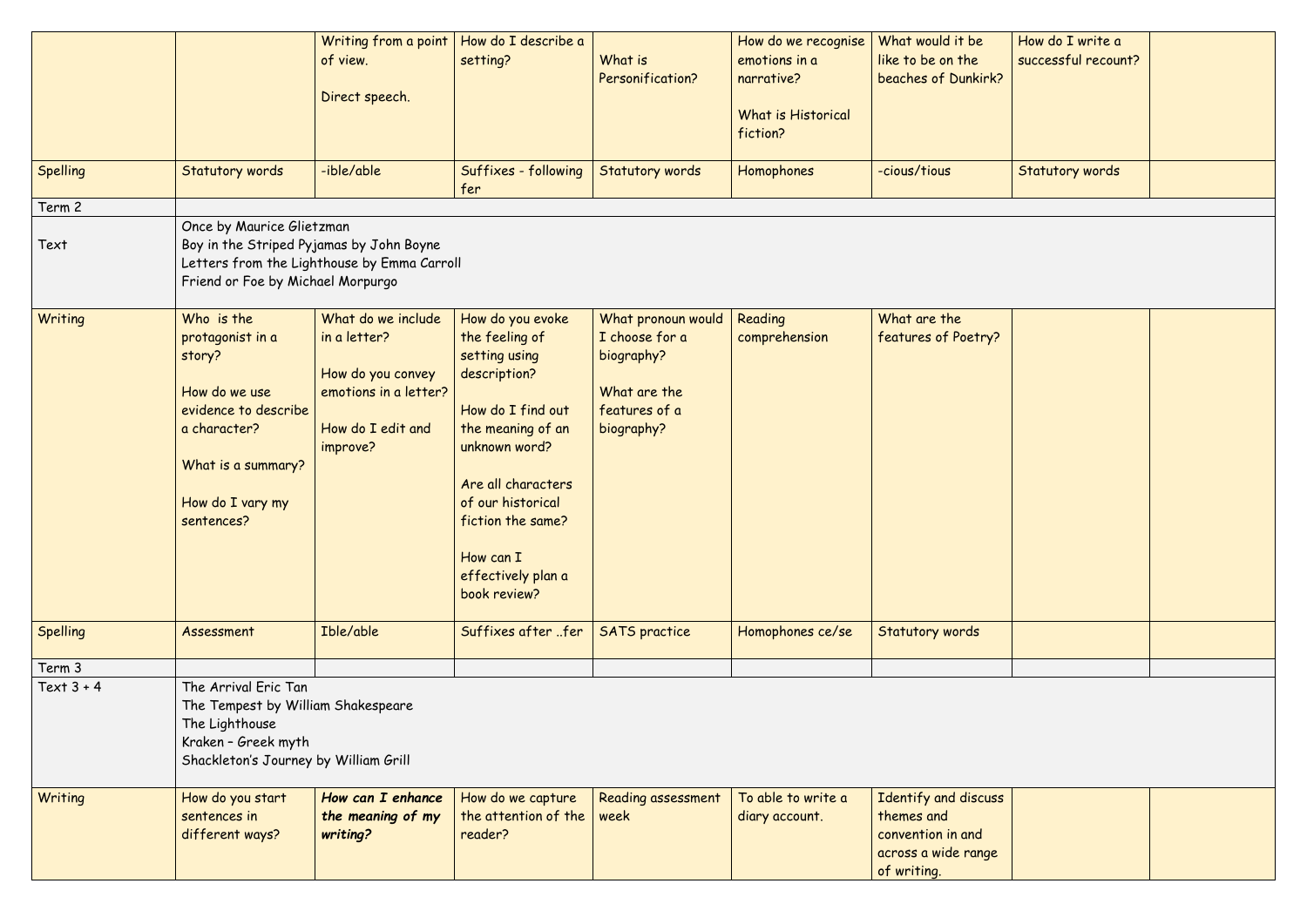| Spelling<br>Term 2<br>Text | Statutory words<br>Once by Maurice Glietzman<br>Boy in the Striped Pyjamas by John Boyne<br>Friend or Foe by Michael Morpurgo                             | Writing from a point<br>of view.<br>Direct speech.<br>-ible/able<br>Letters from the Lighthouse by Emma Carroll   | How do I describe a<br>setting?<br>Suffixes - following<br>fer                                                                                                                                                                                    | What is<br>Personification?<br><b>Statutory words</b>                                             | How do we recognise<br>emotions in a<br>narrative?<br><b>What is Historical</b><br>fiction?<br>Homophones | What would it be<br>like to be on the<br>beaches of Dunkirk?<br>-cious/tious                  | How do I write a<br>successful recount?<br><b>Statutory words</b> |  |
|----------------------------|-----------------------------------------------------------------------------------------------------------------------------------------------------------|-------------------------------------------------------------------------------------------------------------------|---------------------------------------------------------------------------------------------------------------------------------------------------------------------------------------------------------------------------------------------------|---------------------------------------------------------------------------------------------------|-----------------------------------------------------------------------------------------------------------|-----------------------------------------------------------------------------------------------|-------------------------------------------------------------------|--|
| Writing                    | Who is the<br>protagonist in a<br>story?<br>How do we use<br>evidence to describe<br>a character?<br>What is a summary?<br>How do I vary my<br>sentences? | What do we include<br>in a letter?<br>How do you convey<br>emotions in a letter?<br>How do I edit and<br>improve? | How do you evoke<br>the feeling of<br>setting using<br>description?<br>How do I find out<br>the meaning of an<br>unknown word?<br>Are all characters<br>of our historical<br>fiction the same?<br>How can I<br>effectively plan a<br>book review? | What pronoun would<br>I choose for a<br>biography?<br>What are the<br>features of a<br>biography? | Reading<br>comprehension                                                                                  | What are the<br>features of Poetry?                                                           |                                                                   |  |
| Spelling                   | Assessment                                                                                                                                                | Ible/able                                                                                                         | Suffixes after fer                                                                                                                                                                                                                                | <b>SATS</b> practice                                                                              | Homophones ce/se                                                                                          | <b>Statutory words</b>                                                                        |                                                                   |  |
| Term 3                     |                                                                                                                                                           |                                                                                                                   |                                                                                                                                                                                                                                                   |                                                                                                   |                                                                                                           |                                                                                               |                                                                   |  |
| Text $3 + 4$               | The Arrival Eric Tan<br>The Tempest by William Shakespeare<br>The Lighthouse<br>Kraken - Greek myth<br>Shackleton's Journey by William Grill              |                                                                                                                   |                                                                                                                                                                                                                                                   |                                                                                                   |                                                                                                           |                                                                                               |                                                                   |  |
| Writing                    | How do you start<br>sentences in<br>different ways?                                                                                                       | How can I enhance<br>the meaning of my<br>writing?                                                                | How do we capture<br>the attention of the<br>reader?                                                                                                                                                                                              | <b>Reading assessment</b><br>week                                                                 | To able to write a<br>diary account.                                                                      | Identify and discuss<br>themes and<br>convention in and<br>across a wide range<br>of writing. |                                                                   |  |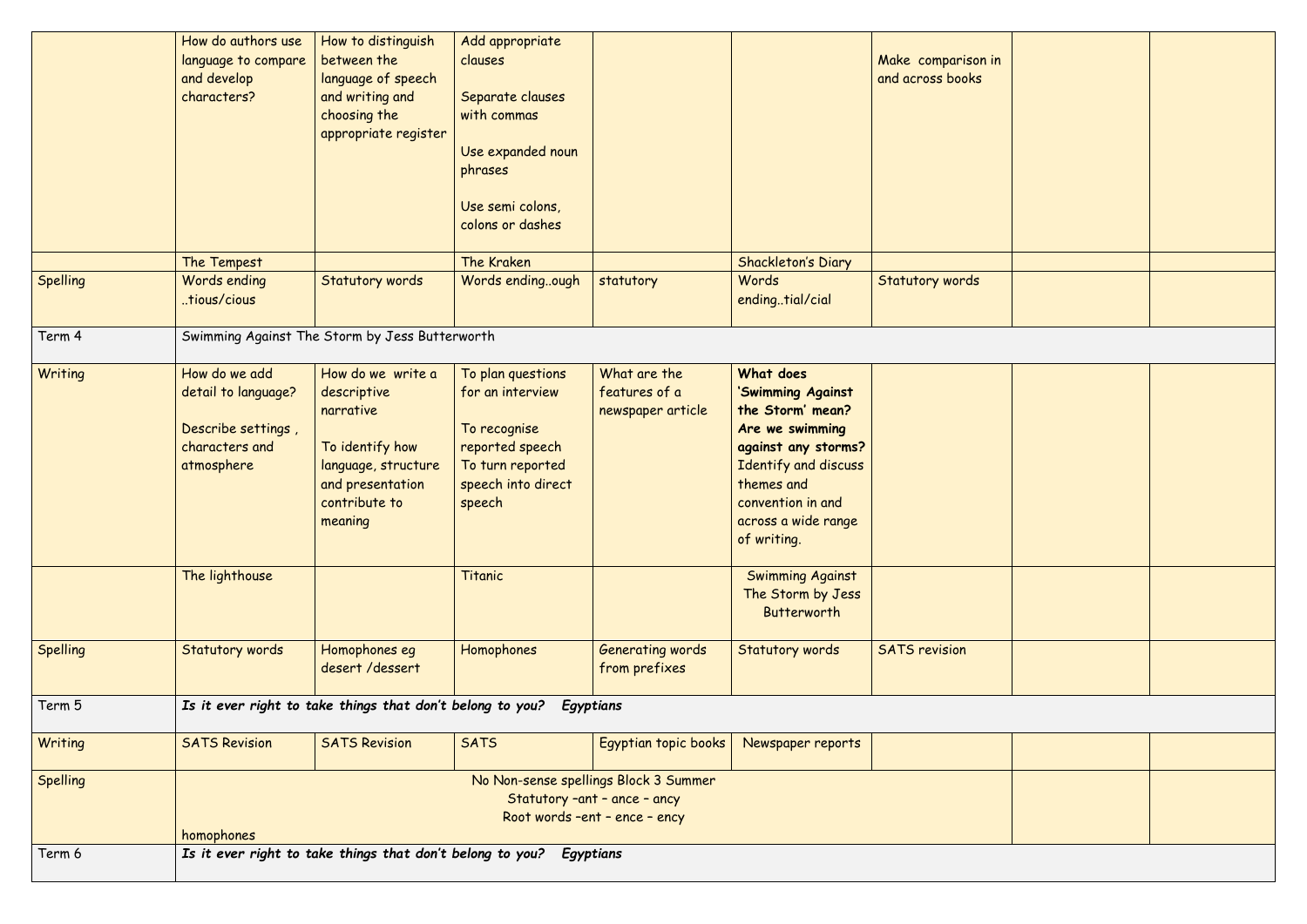|                 | How do authors use<br>language to compare<br>and develop<br>characters?                                              | How to distinguish<br>between the<br>language of speech<br>and writing and<br>choosing the<br>appropriate register                      | Add appropriate<br>clauses<br>Separate clauses<br>with commas<br>Use expanded noun<br>phrases<br>Use semi colons,<br>colons or dashes   |                                                    |                                                                                                                                                                                                                          | Make comparison in<br>and across books |  |  |
|-----------------|----------------------------------------------------------------------------------------------------------------------|-----------------------------------------------------------------------------------------------------------------------------------------|-----------------------------------------------------------------------------------------------------------------------------------------|----------------------------------------------------|--------------------------------------------------------------------------------------------------------------------------------------------------------------------------------------------------------------------------|----------------------------------------|--|--|
|                 | The Tempest                                                                                                          |                                                                                                                                         | The Kraken                                                                                                                              |                                                    | <b>Shackleton's Diary</b>                                                                                                                                                                                                |                                        |  |  |
| Spelling        | Words ending<br>tious/cious                                                                                          | <b>Statutory words</b>                                                                                                                  | Words endingough                                                                                                                        | statutory                                          | Words<br>endingtial/cial                                                                                                                                                                                                 | Statutory words                        |  |  |
| Term 4          | Swimming Against The Storm by Jess Butterworth                                                                       |                                                                                                                                         |                                                                                                                                         |                                                    |                                                                                                                                                                                                                          |                                        |  |  |
| Writing         | How do we add<br>detail to language?<br>Describe settings,<br>characters and<br>atmosphere<br>The lighthouse         | How do we write a<br>descriptive<br>narrative<br>To identify how<br>language, structure<br>and presentation<br>contribute to<br>meaning | To plan questions<br>for an interview<br>To recognise<br>reported speech<br>To turn reported<br>speech into direct<br>speech<br>Titanic | What are the<br>features of a<br>newspaper article | What does<br>'Swimming Against<br>the Storm' mean?<br>Are we swimming<br>against any storms?<br>Identify and discuss<br>themes and<br>convention in and<br>across a wide range<br>of writing.<br><b>Swimming Against</b> |                                        |  |  |
|                 |                                                                                                                      |                                                                                                                                         |                                                                                                                                         |                                                    | The Storm by Jess<br>Butterworth                                                                                                                                                                                         |                                        |  |  |
| <b>Spelling</b> | <b>Statutory words</b>                                                                                               | Homophones eg<br>desert/dessert                                                                                                         | Homophones                                                                                                                              | Generating words<br>from prefixes                  | <b>Statutory words</b>                                                                                                                                                                                                   | <b>SATS</b> revision                   |  |  |
| Term 5          | Is it ever right to take things that don't belong to you?<br>Egyptians                                               |                                                                                                                                         |                                                                                                                                         |                                                    |                                                                                                                                                                                                                          |                                        |  |  |
| Writing         | <b>SATS Revision</b>                                                                                                 | <b>SATS Revision</b>                                                                                                                    | <b>SATS</b>                                                                                                                             | Egyptian topic books                               | Newspaper reports                                                                                                                                                                                                        |                                        |  |  |
| Spelling        | No Non-sense spellings Block 3 Summer<br>Statutory -ant - ance - ancy<br>Root words -ent - ence - ency<br>homophones |                                                                                                                                         |                                                                                                                                         |                                                    |                                                                                                                                                                                                                          |                                        |  |  |
| Term 6          | Is it ever right to take things that don't belong to you?<br>Egyptians                                               |                                                                                                                                         |                                                                                                                                         |                                                    |                                                                                                                                                                                                                          |                                        |  |  |